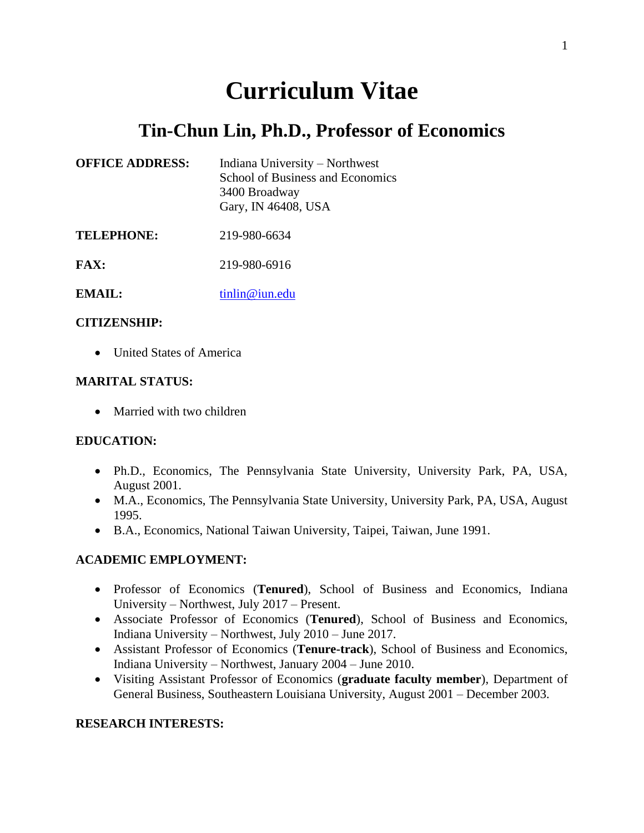# **Curriculum Vitae**

## **Tin-Chun Lin, Ph.D., Professor of Economics**

| <b>OFFICE ADDRESS:</b> | Indiana University – Northwest<br>School of Business and Economics<br>3400 Broadway<br>Gary, IN 46408, USA |
|------------------------|------------------------------------------------------------------------------------------------------------|
| <b>TELEPHONE:</b>      | 219-980-6634                                                                                               |

**EMAIL:** [tinlin@iun.edu](mailto:tinlin@iun.edu)

**FAX:** 219-980-6916

#### **CITIZENSHIP:**

• United States of America

#### **MARITAL STATUS:**

• Married with two children

#### **EDUCATION:**

- Ph.D., Economics, The Pennsylvania State University, University Park, PA, USA, August 2001.
- M.A., Economics, The Pennsylvania State University, University Park, PA, USA, August 1995.
- B.A., Economics, National Taiwan University, Taipei, Taiwan, June 1991.

#### **ACADEMIC EMPLOYMENT:**

- Professor of Economics (**Tenured**), School of Business and Economics, Indiana University – Northwest, July 2017 – Present.
- Associate Professor of Economics (**Tenured**), School of Business and Economics, Indiana University – Northwest, July 2010 – June 2017.
- Assistant Professor of Economics (**Tenure-track**), School of Business and Economics, Indiana University – Northwest, January 2004 – June 2010.
- Visiting Assistant Professor of Economics (**graduate faculty member**), Department of General Business, Southeastern Louisiana University, August 2001 – December 2003.

#### **RESEARCH INTERESTS:**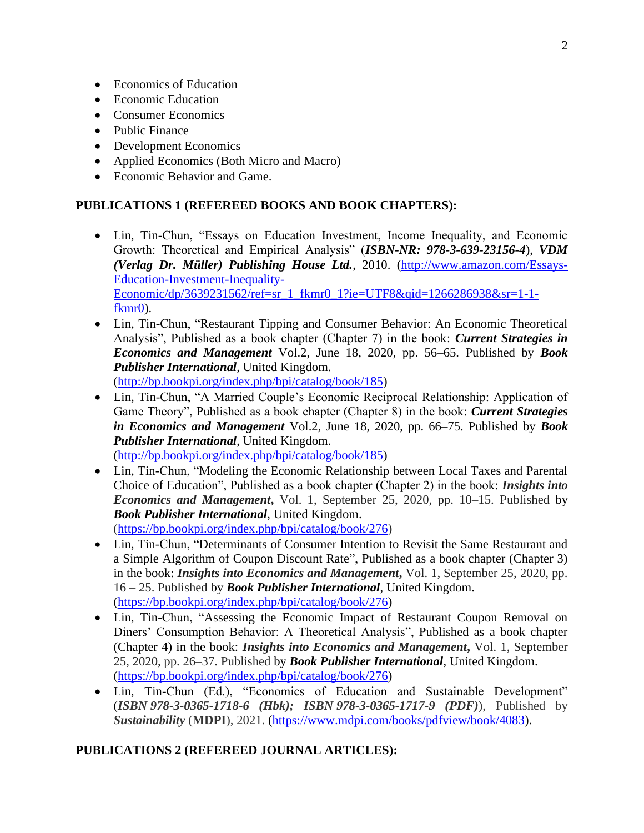- Economics of Education
- Economic Education
- Consumer Economics
- Public Finance
- Development Economics
- Applied Economics (Both Micro and Macro)
- Economic Behavior and Game.

#### **PUBLICATIONS 1 (REFEREED BOOKS AND BOOK CHAPTERS):**

- Lin, Tin-Chun, "Essays on Education Investment, Income Inequality, and Economic Growth: Theoretical and Empirical Analysis" (*ISBN-NR: 978-3-639-23156-4*), *VDM (Verlag Dr. Müller) Publishing House Ltd.*, 2010. [\(http://www.amazon.com/Essays-](http://www.amazon.com/Essays-Education-Investment-Inequality-Economic/dp/3639231562/ref=sr_1_fkmr0_1?ie=UTF8&qid=1266286938&sr=1-1-fkmr0)[Education-Investment-Inequality-](http://www.amazon.com/Essays-Education-Investment-Inequality-Economic/dp/3639231562/ref=sr_1_fkmr0_1?ie=UTF8&qid=1266286938&sr=1-1-fkmr0)[Economic/dp/3639231562/ref=sr\\_1\\_fkmr0\\_1?ie=UTF8&qid=1266286938&sr=1-1](http://www.amazon.com/Essays-Education-Investment-Inequality-Economic/dp/3639231562/ref=sr_1_fkmr0_1?ie=UTF8&qid=1266286938&sr=1-1-fkmr0) [fkmr0\)](http://www.amazon.com/Essays-Education-Investment-Inequality-Economic/dp/3639231562/ref=sr_1_fkmr0_1?ie=UTF8&qid=1266286938&sr=1-1-fkmr0).
- Lin, Tin-Chun, "Restaurant Tipping and Consumer Behavior: An Economic Theoretical Analysis", Published as a book chapter (Chapter 7) in the book: *Current Strategies in Economics and Management* Vol.2, June 18, 2020, pp. 56–65. Published by *Book Publisher International*, United Kingdom. [\(http://bp.bookpi.org/index.php/bpi/catalog/book/185\)](http://bp.bookpi.org/index.php/bpi/catalog/book/185)
- Lin, Tin-Chun, "A Married Couple's Economic Reciprocal Relationship: Application of Game Theory", Published as a book chapter (Chapter 8) in the book: *Current Strategies in Economics and Management* Vol.2, June 18, 2020, pp. 66–75. Published by *Book Publisher International*, United Kingdom. [\(http://bp.bookpi.org/index.php/bpi/catalog/book/185\)](http://bp.bookpi.org/index.php/bpi/catalog/book/185)
- Lin, Tin-Chun, "Modeling the Economic Relationship between Local Taxes and Parental Choice of Education", Published as a book chapter (Chapter 2) in the book: *Insights into Economics and Management***,** Vol. 1, September 25, 2020, pp. 10–15. Published by *Book Publisher International*, United Kingdom. [\(https://bp.bookpi.org/index.php/bpi/catalog/book/276\)](https://bp.bookpi.org/index.php/bpi/catalog/book/276)
- Lin, Tin-Chun, "Determinants of Consumer Intention to Revisit the Same Restaurant and a Simple Algorithm of Coupon Discount Rate", Published as a book chapter (Chapter 3) in the book: *Insights into Economics and Management***,** Vol. 1, September 25, 2020, pp. 16 – 25. Published by *Book Publisher International*, United Kingdom. [\(https://bp.bookpi.org/index.php/bpi/catalog/book/276\)](https://bp.bookpi.org/index.php/bpi/catalog/book/276)
- Lin, Tin-Chun, "Assessing the Economic Impact of Restaurant Coupon Removal on Diners' Consumption Behavior: A Theoretical Analysis", Published as a book chapter (Chapter 4) in the book: *Insights into Economics and Management***,** Vol. 1, September 25, 2020, pp. 26–37. Published by *Book Publisher International*, United Kingdom. [\(https://bp.bookpi.org/index.php/bpi/catalog/book/276\)](https://bp.bookpi.org/index.php/bpi/catalog/book/276)
- Lin, Tin-Chun (Ed.), "Economics of Education and Sustainable Development" (*ISBN 978-3-0365-1718-6 (Hbk); ISBN 978-3-0365-1717-9 (PDF)*), Published by *Sustainability* (**MDPI**), 2021. [\(https://www.mdpi.com/books/pdfview/book/4083\)](https://www.mdpi.com/books/pdfview/book/4083).

#### **PUBLICATIONS 2 (REFEREED JOURNAL ARTICLES):**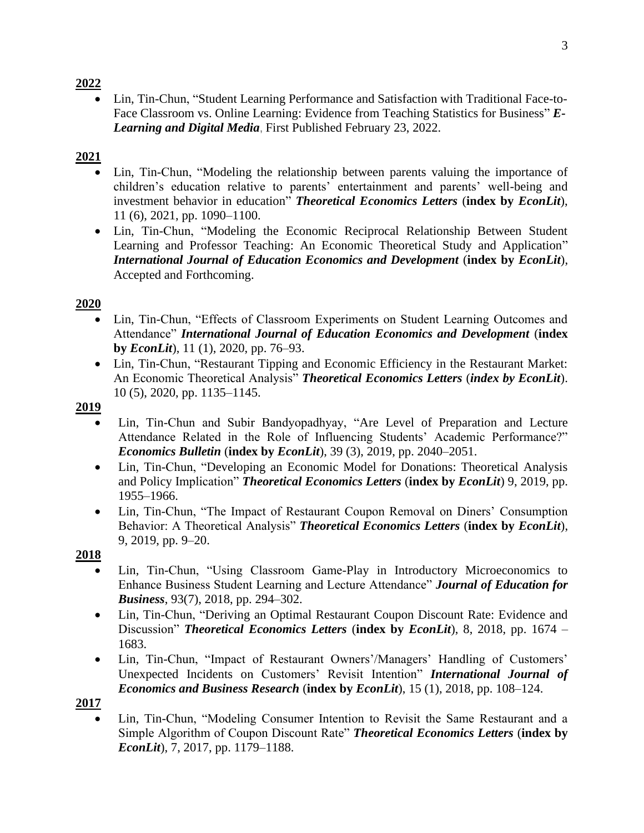• Lin, Tin-Chun, "Student Learning Performance and Satisfaction with Traditional Face-to-Face Classroom vs. Online Learning: Evidence from Teaching Statistics for Business" *E-Learning and Digital Media*, First Published February 23, 2022.

## **2021**

- Lin, Tin-Chun, "Modeling the relationship between parents valuing the importance of children's education relative to parents' entertainment and parents' well-being and investment behavior in education" *Theoretical Economics Letters* (**index by** *EconLit*), 11 (6), 2021, pp. 1090–1100.
- Lin, Tin-Chun, "Modeling the Economic Reciprocal Relationship Between Student Learning and Professor Teaching: An Economic Theoretical Study and Application" *International Journal of Education Economics and Development* (**index by** *EconLit*), Accepted and Forthcoming.

## **2020**

- Lin, Tin-Chun, "Effects of Classroom Experiments on Student Learning Outcomes and Attendance" *International Journal of Education Economics and Development* (**index by** *EconLit*), 11 (1), 2020, pp. 76–93.
- Lin, Tin-Chun, "Restaurant Tipping and Economic Efficiency in the Restaurant Market: An Economic Theoretical Analysis" *Theoretical Economics Letters* (*index by EconLit*). 10 (5), 2020, pp. 1135–1145.

#### **2019**

- Lin, Tin-Chun and Subir Bandyopadhyay, "Are Level of Preparation and Lecture Attendance Related in the Role of Influencing Students' Academic Performance?" *Economics Bulletin* (**index by** *EconLit*), 39 (3), 2019, pp. 2040–2051.
- Lin, Tin-Chun, "Developing an Economic Model for Donations: Theoretical Analysis and Policy Implication" *Theoretical Economics Letters* (**index by** *EconLit*) 9, 2019, pp. 1955–1966.
- Lin, Tin-Chun, "The Impact of Restaurant Coupon Removal on Diners' Consumption Behavior: A Theoretical Analysis" *Theoretical Economics Letters* (**index by** *EconLit*), 9, 2019, pp. 9–20.

#### **2018**

- Lin, Tin-Chun, "Using Classroom Game-Play in Introductory Microeconomics to Enhance Business Student Learning and Lecture Attendance" *Journal of Education for Business*, 93(7), 2018, pp. 294–302.
- Lin, Tin-Chun, "Deriving an Optimal Restaurant Coupon Discount Rate: Evidence and Discussion" *Theoretical Economics Letters* (**index by** *EconLit*), 8, 2018, pp. 1674 – 1683.
- Lin, Tin-Chun, "Impact of Restaurant Owners'/Managers' Handling of Customers' Unexpected Incidents on Customers' Revisit Intention" *International Journal of Economics and Business Research* (**index by** *EconLit*), 15 (1), 2018, pp. 108–124.

## **2017**

• Lin, Tin-Chun, "Modeling Consumer Intention to Revisit the Same Restaurant and a Simple Algorithm of Coupon Discount Rate" *Theoretical Economics Letters* (**index by** *EconLit*), 7, 2017, pp. 1179–1188.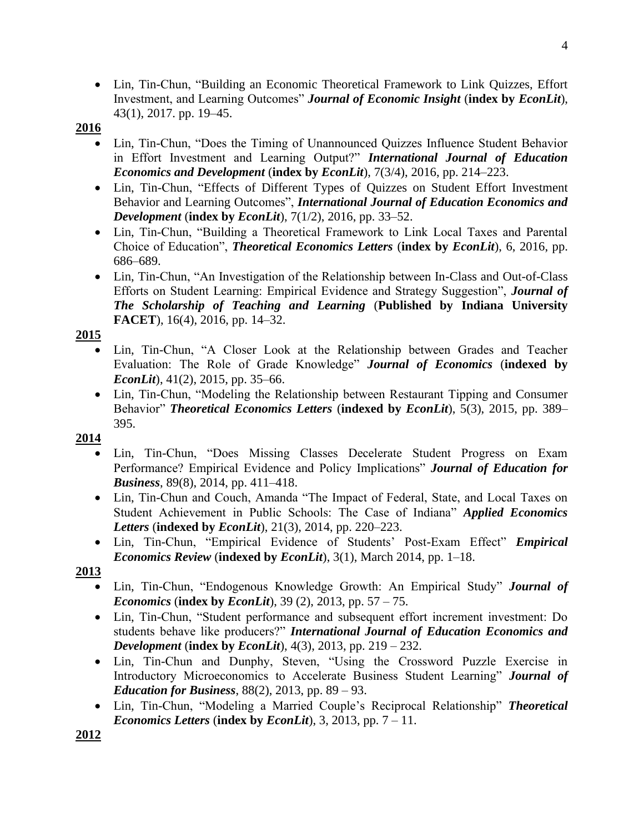• Lin, Tin-Chun, "Building an Economic Theoretical Framework to Link Quizzes, Effort Investment, and Learning Outcomes" *Journal of Economic Insight* (**index by** *EconLit*), 43(1), 2017. pp. 19–45.

## **2016**

- Lin, Tin-Chun, "Does the Timing of Unannounced Quizzes Influence Student Behavior in Effort Investment and Learning Output?" *International Journal of Education Economics and Development* (**index by** *EconLit*), 7(3/4), 2016, pp. 214–223.
- Lin, Tin-Chun, "Effects of Different Types of Quizzes on Student Effort Investment Behavior and Learning Outcomes", *International Journal of Education Economics and Development* (**index by** *EconLit*), 7(1/2), 2016, pp. 33–52.
- Lin, Tin-Chun, "Building a Theoretical Framework to Link Local Taxes and Parental Choice of Education", *Theoretical Economics Letters* (**index by** *EconLit*), 6, 2016, pp. 686–689.
- Lin, Tin-Chun, "An Investigation of the Relationship between In-Class and Out-of-Class Efforts on Student Learning: Empirical Evidence and Strategy Suggestion", *Journal of The Scholarship of Teaching and Learning* (**Published by Indiana University FACET**), 16(4), 2016, pp. 14–32.

#### **2015**

- Lin, Tin-Chun, "A Closer Look at the Relationship between Grades and Teacher Evaluation: The Role of Grade Knowledge" *Journal of Economics* (**indexed by**  *EconLit*), 41(2), 2015, pp. 35–66.
- Lin, Tin-Chun, "Modeling the Relationship between Restaurant Tipping and Consumer Behavior" *Theoretical Economics Letters* (**indexed by** *EconLit*), 5(3), 2015, pp. 389– 395.

## **2014**

- Lin, Tin-Chun, "Does Missing Classes Decelerate Student Progress on Exam Performance? Empirical Evidence and Policy Implications" *Journal of Education for Business*, 89(8), 2014, pp. 411–418.
- Lin, Tin-Chun and Couch, Amanda "The Impact of Federal, State, and Local Taxes on Student Achievement in Public Schools: The Case of Indiana" *Applied Economics Letters* (**indexed by** *EconLit*), 21(3), 2014, pp. 220–223.
- Lin, Tin-Chun, "Empirical Evidence of Students' Post-Exam Effect" *Empirical Economics Review* (**indexed by** *EconLit*), 3(1), March 2014, pp. 1–18.

#### **2013**

- Lin, Tin-Chun, "Endogenous Knowledge Growth: An Empirical Study" *Journal of Economics* (**index by** *EconLit*), 39 (2), 2013, pp. 57 – 75.
- Lin, Tin-Chun, "Student performance and subsequent effort increment investment: Do students behave like producers?" *International Journal of Education Economics and Development* (**index by** *EconLit*), 4(3), 2013, pp. 219 – 232.
- Lin, Tin-Chun and Dunphy, Steven, "Using the Crossword Puzzle Exercise in Introductory Microeconomics to Accelerate Business Student Learning" *Journal of Education for Business*, 88(2), 2013, pp. 89 – 93.
- Lin, Tin-Chun, "Modeling a Married Couple's Reciprocal Relationship" *Theoretical Economics Letters* (**index by** *EconLit*), 3, 2013, pp. 7 – 11.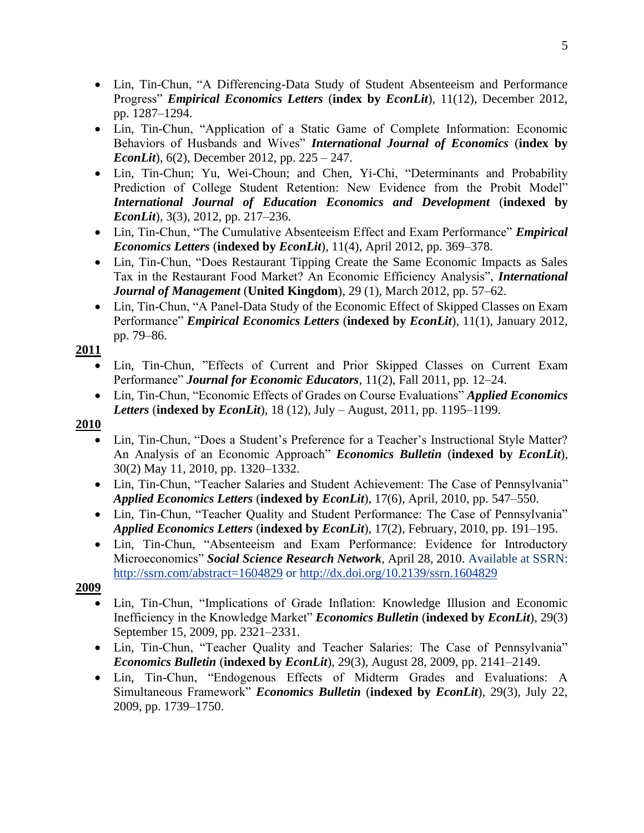- Lin, Tin-Chun, "A Differencing-Data Study of Student Absenteeism and Performance Progress" *Empirical Economics Letters* (**index by** *EconLit*), 11(12), December 2012, pp. 1287–1294.
- Lin, Tin-Chun, "Application of a Static Game of Complete Information: Economic Behaviors of Husbands and Wives" *International Journal of Economics* (**index by**  *EconLit*), 6(2), December 2012, pp. 225 – 247.
- Lin, Tin-Chun; Yu, Wei-Choun; and Chen, Yi-Chi, "Determinants and Probability Prediction of College Student Retention: New Evidence from the Probit Model" *International Journal of Education Economics and Development* (**indexed by** *EconLit*), 3(3), 2012, pp. 217–236.
- Lin, Tin-Chun, "The Cumulative Absenteeism Effect and Exam Performance" *Empirical Economics Letters* (**indexed by** *EconLit*), 11(4), April 2012, pp. 369–378.
- Lin, Tin-Chun, "Does Restaurant Tipping Create the Same Economic Impacts as Sales Tax in the Restaurant Food Market? An Economic Efficiency Analysis", *International Journal of Management* (**United Kingdom**), 29 (1), March 2012, pp. 57–62.
- Lin, Tin-Chun, "A Panel-Data Study of the Economic Effect of Skipped Classes on Exam Performance" *Empirical Economics Letters* (**indexed by** *EconLit*), 11(1), January 2012, pp. 79–86.

- Lin, Tin-Chun, "Effects of Current and Prior Skipped Classes on Current Exam Performance" *Journal for Economic Educators*, 11(2), Fall 2011, pp. 12–24.
- Lin, Tin-Chun, "Economic Effects of Grades on Course Evaluations" *Applied Economics Letters* (**indexed by** *EconLit*), 18 (12), July – August, 2011, pp. 1195–1199.

## **2010**

- Lin, Tin-Chun, "Does a Student's Preference for a Teacher's Instructional Style Matter? An Analysis of an Economic Approach" *Economics Bulletin* (**indexed by** *EconLit*), 30(2) May 11, 2010, pp. 1320–1332.
- Lin, Tin-Chun, "Teacher Salaries and Student Achievement: The Case of Pennsylvania" *Applied Economics Letters* (**indexed by** *EconLit*), 17(6), April, 2010, pp. 547–550.
- Lin, Tin-Chun, "Teacher Quality and Student Performance: The Case of Pennsylvania" *Applied Economics Letters* (**indexed by** *EconLit*), 17(2), February, 2010, pp. 191–195.
- Lin, Tin-Chun, "Absenteeism and Exam Performance: Evidence for Introductory Microeconomics" *Social Science Research Network*, April 28, 2010. Available at SSRN: <http://ssrn.com/abstract=1604829> or<http://dx.doi.org/10.2139/ssrn.1604829>

- Lin, Tin-Chun, "Implications of Grade Inflation: Knowledge Illusion and Economic Inefficiency in the Knowledge Market" *Economics Bulletin* (**indexed by** *EconLit*), 29(3) September 15, 2009, pp. 2321–2331.
- Lin, Tin-Chun, "Teacher Quality and Teacher Salaries: The Case of Pennsylvania" *Economics Bulletin* (**indexed by** *EconLit*), 29(3), August 28, 2009, pp. 2141–2149.
- Lin, Tin-Chun, "Endogenous Effects of Midterm Grades and Evaluations: A Simultaneous Framework" *Economics Bulletin* (**indexed by** *EconLit*), 29(3), July 22, 2009, pp. 1739–1750.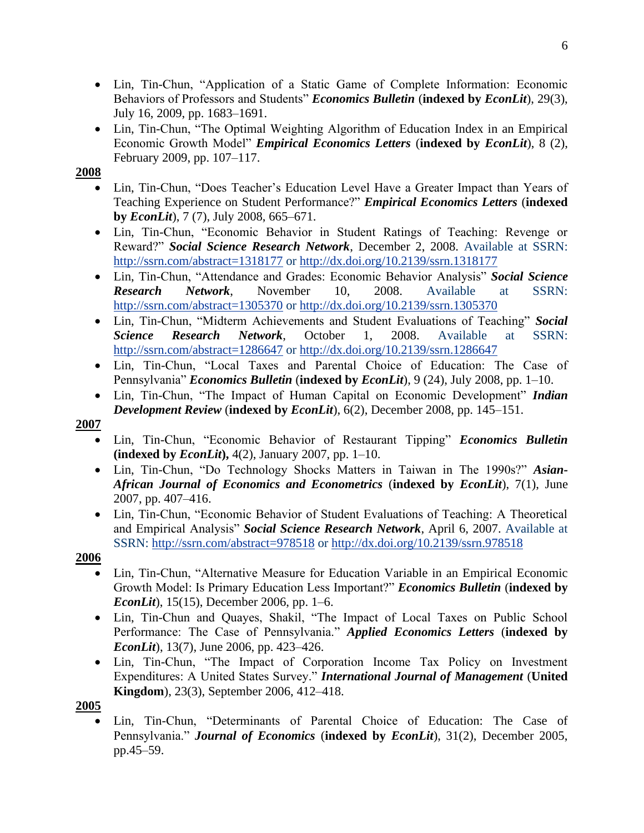- Lin, Tin-Chun, "Application of a Static Game of Complete Information: Economic Behaviors of Professors and Students" *Economics Bulletin* (**indexed by** *EconLit*), 29(3), July 16, 2009, pp. 1683–1691.
- Lin, Tin-Chun, "The Optimal Weighting Algorithm of Education Index in an Empirical Economic Growth Model" *Empirical Economics Letters* (**indexed by** *EconLit*), 8 (2), February 2009, pp. 107–117.

- Lin, Tin-Chun, "Does Teacher's Education Level Have a Greater Impact than Years of Teaching Experience on Student Performance?" *Empirical Economics Letters* (**indexed by** *EconLit*), 7 (7), July 2008, 665–671.
- Lin, Tin-Chun, "Economic Behavior in Student Ratings of Teaching: Revenge or Reward?" *Social Science Research Network*, December 2, 2008. Available at SSRN: <http://ssrn.com/abstract=1318177> or<http://dx.doi.org/10.2139/ssrn.1318177>
- Lin, Tin-Chun, "Attendance and Grades: Economic Behavior Analysis" *Social Science Research Network*, November 10, 2008. Available at SSRN: <http://ssrn.com/abstract=1305370> or<http://dx.doi.org/10.2139/ssrn.1305370>
- Lin, Tin-Chun, "Midterm Achievements and Student Evaluations of Teaching" *Social Science Research Network*, October 1, 2008. Available at SSRN: <http://ssrn.com/abstract=1286647> or http://dx.doi.org/10.2139/ssrn.1286647
- Lin, Tin-Chun, "Local Taxes and Parental Choice of Education: The Case of Pennsylvania" *Economics Bulletin* (**indexed by** *EconLit*), 9 (24), July 2008, pp. 1–10.
- Lin, Tin-Chun, "The Impact of Human Capital on Economic Development" *Indian Development Review* (**indexed by** *EconLit*), 6(2), December 2008, pp. 145–151.

## **2007**

- Lin, Tin-Chun, "Economic Behavior of Restaurant Tipping" *Economics Bulletin*  **(indexed by** *EconLit***),** 4(2), January 2007, pp. 1–10.
- Lin, Tin-Chun, "Do Technology Shocks Matters in Taiwan in The 1990s?" *Asian-African Journal of Economics and Econometrics* (**indexed by** *EconLit*), 7(1), June 2007, pp. 407–416.
- Lin, Tin-Chun, "Economic Behavior of Student Evaluations of Teaching: A Theoretical and Empirical Analysis" *Social Science Research Network*, April 6, 2007. Available at SSRN:<http://ssrn.com/abstract=978518> or<http://dx.doi.org/10.2139/ssrn.978518>

#### **2006**

- Lin, Tin-Chun, "Alternative Measure for Education Variable in an Empirical Economic Growth Model: Is Primary Education Less Important?" *Economics Bulletin* (**indexed by**  *EconLit*), 15(15), December 2006, pp. 1–6.
- Lin, Tin-Chun and Quayes, Shakil, "The Impact of Local Taxes on Public School Performance: The Case of Pennsylvania." *Applied Economics Letters* (**indexed by**  *EconLit*), 13(7), June 2006, pp. 423–426.
- Lin, Tin-Chun, "The Impact of Corporation Income Tax Policy on Investment Expenditures: A United States Survey." *International Journal of Management* (**United Kingdom**), 23(3), September 2006, 412–418.

#### **2005**

• Lin, Tin-Chun, "Determinants of Parental Choice of Education: The Case of Pennsylvania." *Journal of Economics* (**indexed by** *EconLit*), 31(2), December 2005, pp.45–59.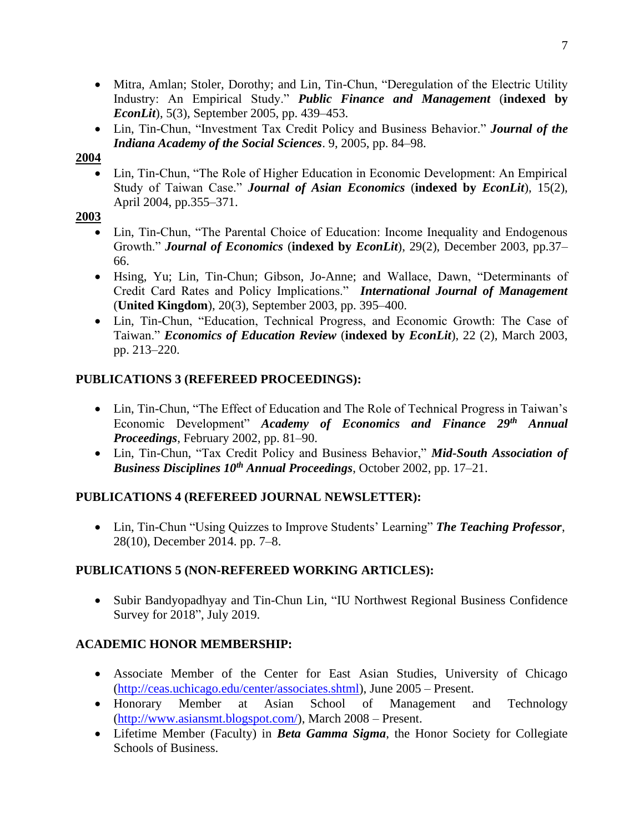- Mitra, Amlan; Stoler, Dorothy; and Lin, Tin-Chun, "Deregulation of the Electric Utility Industry: An Empirical Study." *Public Finance and Management* (**indexed by**  *EconLit*), 5(3), September 2005, pp. 439–453.
- Lin, Tin-Chun, "Investment Tax Credit Policy and Business Behavior." *Journal of the Indiana Academy of the Social Sciences*. 9, 2005, pp. 84–98.

• Lin, Tin-Chun, "The Role of Higher Education in Economic Development: An Empirical Study of Taiwan Case." *Journal of Asian Economics* (**indexed by** *EconLit*), 15(2), April 2004, pp.355–371.

#### **2003**

- Lin, Tin-Chun, "The Parental Choice of Education: Income Inequality and Endogenous Growth." *Journal of Economics* (**indexed by** *EconLit*), 29(2), December 2003, pp.37– 66.
- Hsing, Yu; Lin, Tin-Chun; Gibson, Jo-Anne; and Wallace, Dawn, "Determinants of Credit Card Rates and Policy Implications." *International Journal of Management* (**United Kingdom**), 20(3), September 2003, pp. 395–400.
- Lin, Tin-Chun, "Education, Technical Progress, and Economic Growth: The Case of Taiwan." *Economics of Education Review* (**indexed by** *EconLit*), 22 (2), March 2003, pp. 213–220.

## **PUBLICATIONS 3 (REFEREED PROCEEDINGS):**

- Lin, Tin-Chun, "The Effect of Education and The Role of Technical Progress in Taiwan's Economic Development" *Academy of Economics and Finance 29th Annual Proceedings*, February 2002, pp. 81–90.
- Lin, Tin-Chun, "Tax Credit Policy and Business Behavior," *Mid-South Association of Business Disciplines 10th Annual Proceedings*, October 2002, pp. 17–21.

## **PUBLICATIONS 4 (REFEREED JOURNAL NEWSLETTER):**

• Lin, Tin-Chun "Using Quizzes to Improve Students' Learning" *The Teaching Professor*, 28(10), December 2014. pp. 7–8.

## **PUBLICATIONS 5 (NON-REFEREED WORKING ARTICLES):**

• Subir Bandyopadhyay and Tin-Chun Lin, "IU Northwest Regional Business Confidence Survey for 2018", July 2019.

## **ACADEMIC HONOR MEMBERSHIP:**

- Associate Member of the Center for East Asian Studies, University of Chicago [\(http://ceas.uchicago.edu/center/associates.shtml\)](http://ceas.uchicago.edu/center/associates.shtml), June 2005 – Present.
- Honorary Member at Asian School of Management and Technology [\(http://www.asiansmt.blogspot.com/\)](http://www.asiansmt.blogspot.com/), March 2008 – Present.
- Lifetime Member (Faculty) in *Beta Gamma Sigma*, the Honor Society for Collegiate Schools of Business.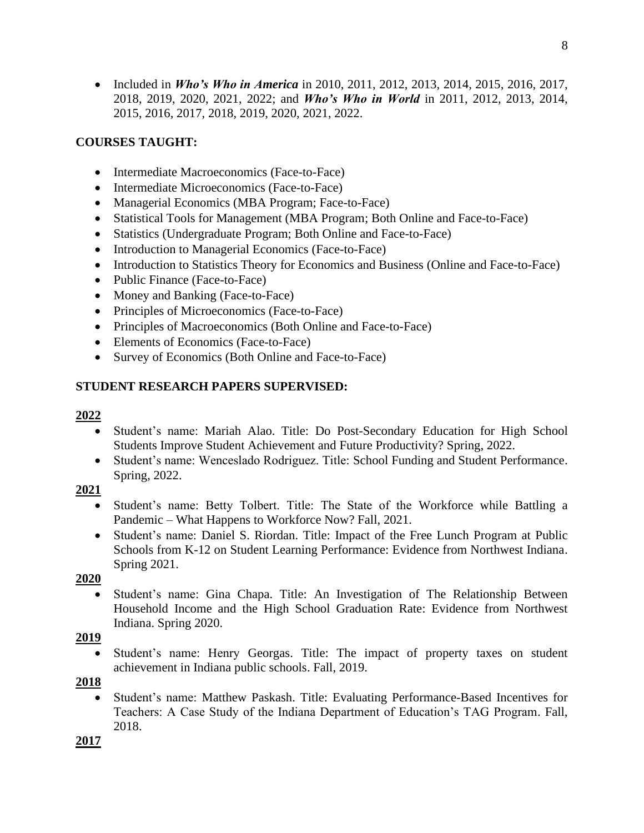• Included in *Who's Who in America* in 2010, 2011, 2012, 2013, 2014, 2015, 2016, 2017, 2018, 2019, 2020, 2021, 2022; and *Who's Who in World* in 2011, 2012, 2013, 2014, 2015, 2016, 2017, 2018, 2019, 2020, 2021, 2022.

## **COURSES TAUGHT:**

- Intermediate Macroeconomics (Face-to-Face)
- Intermediate Microeconomics (Face-to-Face)
- Managerial Economics (MBA Program; Face-to-Face)
- Statistical Tools for Management (MBA Program; Both Online and Face-to-Face)
- Statistics (Undergraduate Program; Both Online and Face-to-Face)
- Introduction to Managerial Economics (Face-to-Face)
- Introduction to Statistics Theory for Economics and Business (Online and Face-to-Face)
- Public Finance (Face-to-Face)
- Money and Banking (Face-to-Face)
- Principles of Microeconomics (Face-to-Face)
- Principles of Macroeconomics (Both Online and Face-to-Face)
- Elements of Economics (Face-to-Face)
- Survey of Economics (Both Online and Face-to-Face)

#### **STUDENT RESEARCH PAPERS SUPERVISED:**

#### **2022**

- Student's name: Mariah Alao. Title: Do Post-Secondary Education for High School Students Improve Student Achievement and Future Productivity? Spring, 2022.
- Student's name: Wenceslado Rodriguez. Title: School Funding and Student Performance. Spring, 2022.

#### **2021**

- Student's name: Betty Tolbert. Title: The State of the Workforce while Battling a Pandemic – What Happens to Workforce Now? Fall, 2021.
- Student's name: Daniel S. Riordan. Title: Impact of the Free Lunch Program at Public Schools from K-12 on Student Learning Performance: Evidence from Northwest Indiana. Spring 2021.

#### **2020**

• Student's name: Gina Chapa. Title: An Investigation of The Relationship Between Household Income and the High School Graduation Rate: Evidence from Northwest Indiana. Spring 2020.

#### **2019**

Student's name: Henry Georgas. Title: The impact of property taxes on student achievement in Indiana public schools. Fall, 2019.

#### **2018**

• Student's name: Matthew Paskash. Title: Evaluating Performance-Based Incentives for Teachers: A Case Study of the Indiana Department of Education's TAG Program. Fall, 2018.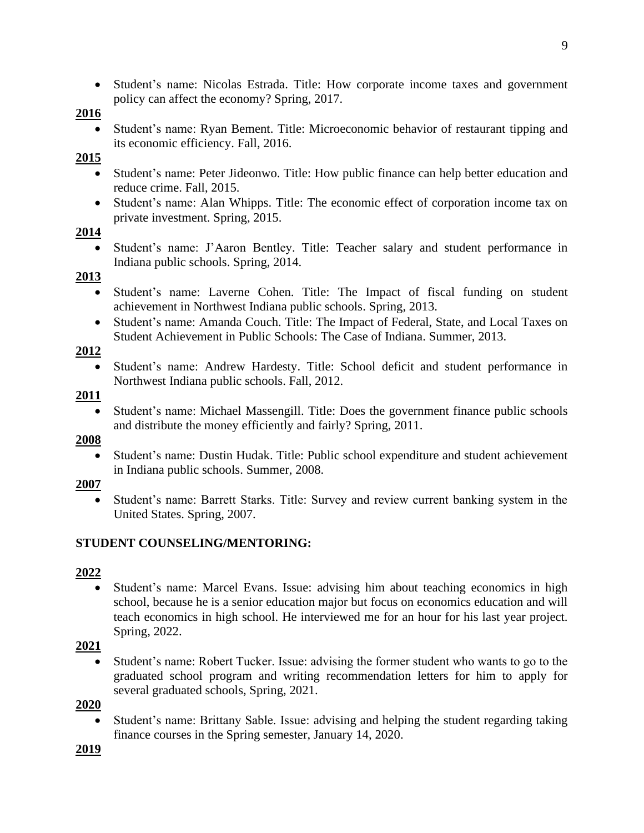• Student's name: Nicolas Estrada. Title: How corporate income taxes and government policy can affect the economy? Spring, 2017.

#### **2016**

• Student's name: Ryan Bement. Title: Microeconomic behavior of restaurant tipping and its economic efficiency. Fall, 2016.

#### **2015**

- Student's name: Peter Jideonwo. Title: How public finance can help better education and reduce crime. Fall, 2015.
- Student's name: Alan Whipps. Title: The economic effect of corporation income tax on private investment. Spring, 2015.

#### **2014**

• Student's name: J'Aaron Bentley. Title: Teacher salary and student performance in Indiana public schools. Spring, 2014.

#### **2013**

- Student's name: Laverne Cohen. Title: The Impact of fiscal funding on student achievement in Northwest Indiana public schools. Spring, 2013.
- Student's name: Amanda Couch. Title: The Impact of Federal, State, and Local Taxes on Student Achievement in Public Schools: The Case of Indiana. Summer, 2013.

#### **2012**

• Student's name: Andrew Hardesty. Title: School deficit and student performance in Northwest Indiana public schools. Fall, 2012.

#### **2011**

• Student's name: Michael Massengill. Title: Does the government finance public schools and distribute the money efficiently and fairly? Spring, 2011.

#### **2008**

• Student's name: Dustin Hudak. Title: Public school expenditure and student achievement in Indiana public schools. Summer, 2008.

#### **2007**

• Student's name: Barrett Starks. Title: Survey and review current banking system in the United States. Spring, 2007.

## **STUDENT COUNSELING/MENTORING:**

#### **2022**

• Student's name: Marcel Evans. Issue: advising him about teaching economics in high school, because he is a senior education major but focus on economics education and will teach economics in high school. He interviewed me for an hour for his last year project. Spring, 2022.

## **2021**

• Student's name: Robert Tucker. Issue: advising the former student who wants to go to the graduated school program and writing recommendation letters for him to apply for several graduated schools, Spring, 2021.

#### **2020**

• Student's name: Brittany Sable. Issue: advising and helping the student regarding taking finance courses in the Spring semester, January 14, 2020.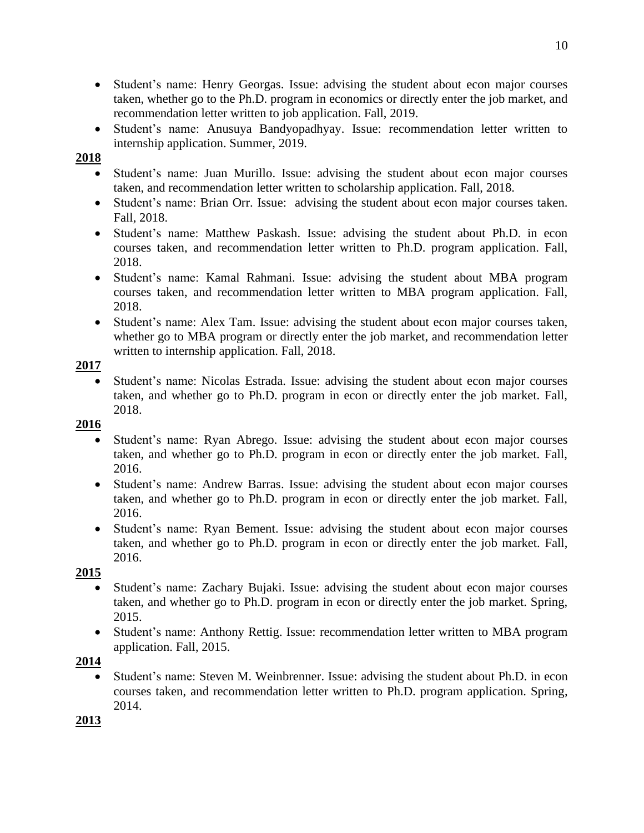- Student's name: Henry Georgas. Issue: advising the student about econ major courses taken, whether go to the Ph.D. program in economics or directly enter the job market, and recommendation letter written to job application. Fall, 2019.
- Student's name: Anusuya Bandyopadhyay. Issue: recommendation letter written to internship application. Summer, 2019.

- Student's name: Juan Murillo. Issue: advising the student about econ major courses taken, and recommendation letter written to scholarship application. Fall, 2018.
- Student's name: Brian Orr. Issue: advising the student about econ major courses taken. Fall, 2018.
- Student's name: Matthew Paskash. Issue: advising the student about Ph.D. in econ courses taken, and recommendation letter written to Ph.D. program application. Fall, 2018.
- Student's name: Kamal Rahmani. Issue: advising the student about MBA program courses taken, and recommendation letter written to MBA program application. Fall, 2018.
- Student's name: Alex Tam. Issue: advising the student about econ major courses taken, whether go to MBA program or directly enter the job market, and recommendation letter written to internship application. Fall, 2018.

#### **2017**

Student's name: Nicolas Estrada. Issue: advising the student about econ major courses taken, and whether go to Ph.D. program in econ or directly enter the job market. Fall, 2018.

## **2016**

- Student's name: Ryan Abrego. Issue: advising the student about econ major courses taken, and whether go to Ph.D. program in econ or directly enter the job market. Fall, 2016.
- Student's name: Andrew Barras. Issue: advising the student about econ major courses taken, and whether go to Ph.D. program in econ or directly enter the job market. Fall, 2016.
- Student's name: Ryan Bement. Issue: advising the student about econ major courses taken, and whether go to Ph.D. program in econ or directly enter the job market. Fall, 2016.

## **2015**

- Student's name: Zachary Bujaki. Issue: advising the student about econ major courses taken, and whether go to Ph.D. program in econ or directly enter the job market. Spring, 2015.
- Student's name: Anthony Rettig. Issue: recommendation letter written to MBA program application. Fall, 2015.

## **2014**

Student's name: Steven M. Weinbrenner. Issue: advising the student about Ph.D. in econ courses taken, and recommendation letter written to Ph.D. program application. Spring, 2014.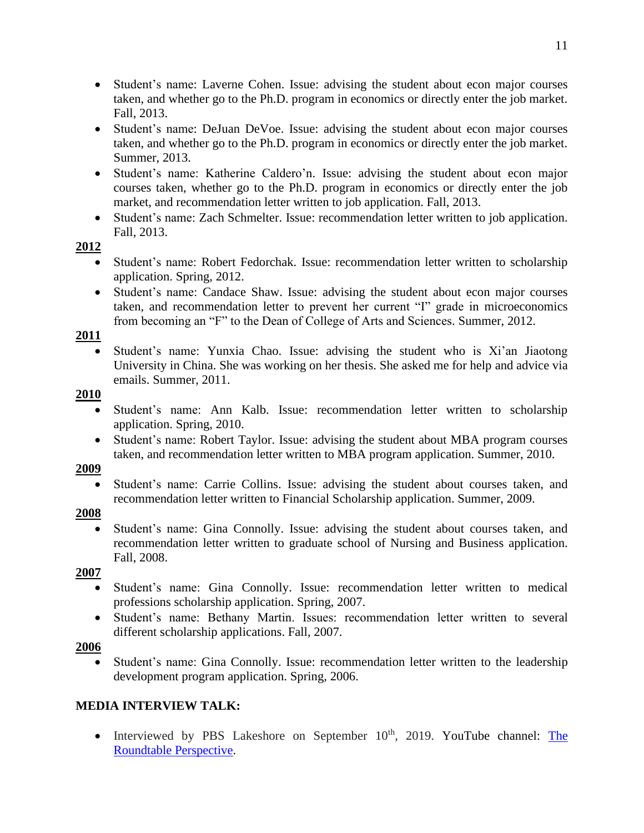- Student's name: Laverne Cohen. Issue: advising the student about econ major courses taken, and whether go to the Ph.D. program in economics or directly enter the job market. Fall, 2013.
- Student's name: DeJuan DeVoe. Issue: advising the student about econ major courses taken, and whether go to the Ph.D. program in economics or directly enter the job market. Summer, 2013.
- Student's name: Katherine Caldero'n. Issue: advising the student about econ major courses taken, whether go to the Ph.D. program in economics or directly enter the job market, and recommendation letter written to job application. Fall, 2013.
- Student's name: Zach Schmelter. Issue: recommendation letter written to job application. Fall, 2013.

- Student's name: Robert Fedorchak. Issue: recommendation letter written to scholarship application. Spring, 2012.
- Student's name: Candace Shaw. Issue: advising the student about econ major courses taken, and recommendation letter to prevent her current "I" grade in microeconomics from becoming an "F" to the Dean of College of Arts and Sciences. Summer, 2012.

#### **2011**

• Student's name: Yunxia Chao. Issue: advising the student who is Xi'an Jiaotong University in China. She was working on her thesis. She asked me for help and advice via emails. Summer, 2011.

#### **2010**

- Student's name: Ann Kalb. Issue: recommendation letter written to scholarship application. Spring, 2010.
- Student's name: Robert Taylor. Issue: advising the student about MBA program courses taken, and recommendation letter written to MBA program application. Summer, 2010.

#### **2009**

• Student's name: Carrie Collins. Issue: advising the student about courses taken, and recommendation letter written to Financial Scholarship application. Summer, 2009.

#### **2008**

• Student's name: Gina Connolly. Issue: advising the student about courses taken, and recommendation letter written to graduate school of Nursing and Business application. Fall, 2008.

#### **2007**

- Student's name: Gina Connolly. Issue: recommendation letter written to medical professions scholarship application. Spring, 2007.
- Student's name: Bethany Martin. Issues: recommendation letter written to several different scholarship applications. Fall, 2007.

## **2006**

• Student's name: Gina Connolly. Issue: recommendation letter written to the leadership development program application. Spring, 2006.

## **MEDIA INTERVIEW TALK:**

• Interviewed by PBS Lakeshore on September  $10<sup>th</sup>$ , 2019. YouTube channel: The [Roundtable Perspective.](https://www.youtube.com/channel/UC6V39wyymX7aGy64VXbO8mg)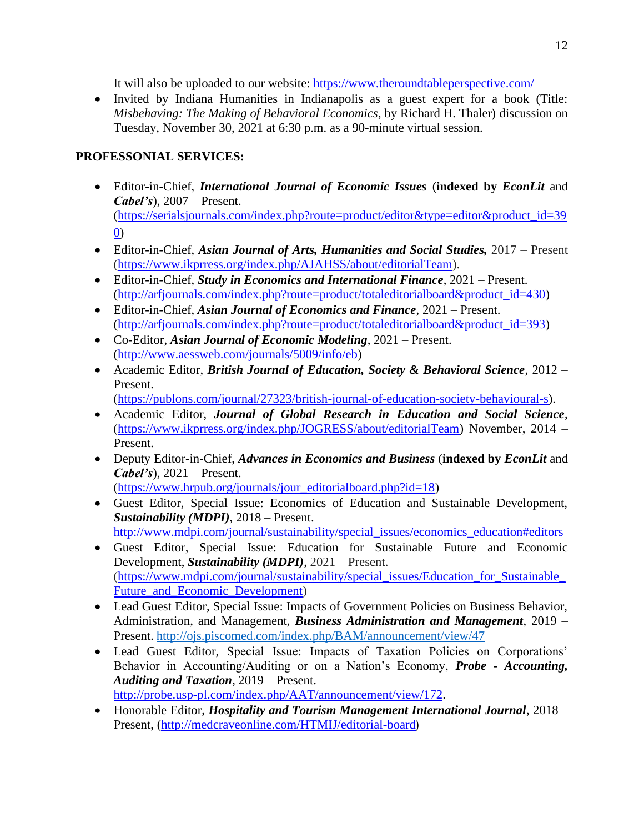It will also be uploaded to our website: <https://www.theroundtableperspective.com/>

• Invited by Indiana Humanities in Indianapolis as a guest expert for a book (Title: *Misbehaving: The Making of Behavioral Economics*, by Richard H. Thaler) discussion on Tuesday, November 30, 2021 at 6:30 p.m. as a 90-minute virtual session.

## **PROFESSONIAL SERVICES:**

- Editor-in-Chief, *International Journal of Economic Issues* (**indexed by** *EconLit* and *Cabel's*), 2007 – Present. [\(https://serialsjournals.com/index.php?route=product/editor&type=editor&product\\_id=39](https://serialsjournals.com/index.php?route=product/editor&type=editor&product_id=390) [0\)](https://serialsjournals.com/index.php?route=product/editor&type=editor&product_id=390)
- Editor-in-Chief, *Asian Journal of Arts, Humanities and Social Studies,* 2017 Present [\(https://www.ikprress.org/index.php/AJAHSS/about/editorialTeam\)](https://www.ikprress.org/index.php/AJAHSS/about/editorialTeam).
- Editor-in-Chief, *Study in Economics and International Finance*, 2021 Present. [\(http://arfjournals.com/index.php?route=product/totaleditorialboard&product\\_id=430\)](http://arfjournals.com/index.php?route=product/totaleditorialboard&product_id=430)
- Editor-in-Chief, *Asian Journal of Economics and Finance*, 2021 Present. [\(http://arfjournals.com/index.php?route=product/totaleditorialboard&product\\_id=393\)](http://arfjournals.com/index.php?route=product/totaleditorialboard&product_id=393)
- Co-Editor, *Asian Journal of Economic Modeling*, 2021 Present. [\(http://www.aessweb.com/journals/5009/info/eb\)](http://www.aessweb.com/journals/5009/info/eb)
- Academic Editor, *British Journal of Education, Society & Behavioral Science*, 2012 Present.
	- [\(https://publons.com/journal/27323/british-journal-of-education-society-behavioural-s\)](https://publons.com/journal/27323/british-journal-of-education-society-behavioural-s).
- Academic Editor, *Journal of Global Research in Education and Social Science*, [\(https://www.ikprress.org/index.php/JOGRESS/about/editorialTeam\)](https://www.ikprress.org/index.php/JOGRESS/about/editorialTeam) November, 2014 – Present.
- Deputy Editor-in-Chief, *Advances in Economics and Business* (**indexed by** *EconLit* and *Cabel's*), 2021 – Present. [\(https://www.hrpub.org/journals/jour\\_editorialboard.php?id=18\)](https://www.hrpub.org/journals/jour_editorialboard.php?id=18)
- Guest Editor, Special Issue: Economics of Education and Sustainable Development, *Sustainability (MDPI)*, 2018 – Present.
	- [http://www.mdpi.com/journal/sustainability/special\\_issues/economics\\_education#editors](http://www.mdpi.com/journal/sustainability/special_issues/economics_education#editors)
- Guest Editor, Special Issue: Education for Sustainable Future and Economic Development, *Sustainability (MDPI)*, 2021 – Present. [\(https://www.mdpi.com/journal/sustainability/special\\_issues/Education\\_for\\_Sustainable\\_](https://www.mdpi.com/journal/sustainability/special_issues/Education_for_Sustainable_Future_and_Economic_Development) Future and Economic Development)
- Lead Guest Editor, Special Issue: Impacts of Government Policies on Business Behavior, Administration, and Management, *Business Administration and Management*, 2019 – Present. <http://ojs.piscomed.com/index.php/BAM/announcement/view/47>
- Lead Guest Editor, Special Issue: Impacts of Taxation Policies on Corporations' Behavior in Accounting/Auditing or on a Nation's Economy, *Probe - Accounting, Auditing and Taxation*, 2019 – Present. [http://probe.usp-pl.com/index.php/AAT/announcement/view/172.](http://probe.usp-pl.com/index.php/AAT/announcement/view/172)
- Honorable Editor, *Hospitality and Tourism Management International Journal*, 2018 Present, [\(http://medcraveonline.com/HTMIJ/editorial-board](http://medcraveonline.com/HTMIJ/editorial-board))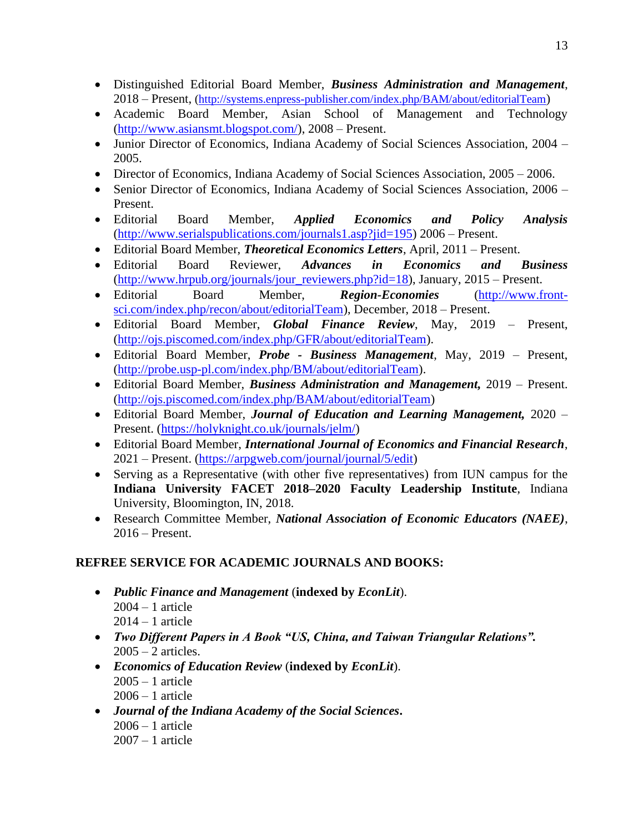- Distinguished Editorial Board Member, *Business Administration and Management*, 2018 – Present, [\(http://systems.enpress-publisher.com/index.php/BAM/about/editorialTeam](http://systems.enpress-publisher.com/index.php/BAM/about/editorialTeam))
- Academic Board Member, Asian School of Management and Technology [\(http://www.asiansmt.blogspot.com/\)](http://www.asiansmt.blogspot.com/), 2008 – Present.
- Junior Director of Economics, Indiana Academy of Social Sciences Association, 2004 2005.
- Director of Economics, Indiana Academy of Social Sciences Association, 2005 2006.
- Senior Director of Economics, Indiana Academy of Social Sciences Association, 2006 Present.
- Editorial Board Member, *Applied Economics and Policy Analysis* [\(http://www.serialspublications.com/journals1.asp?jid=195\)](http://www.serialspublications.com/journals1.asp?jid=195) 2006 – Present.
- Editorial Board Member, *Theoretical Economics Letters*, April, 2011 Present.
- Editorial Board Reviewer, *Advances in Economics and Business* [\(http://www.hrpub.org/journals/jour\\_reviewers.php?id=18\)](http://www.hrpub.org/journals/jour_reviewers.php?id=18), January, 2015 – Present.
- Editorial Board Member, *Region-Economies* [\(http://www.front](http://www.front-sci.com/index.php/recon/about/editorialTeam)[sci.com/index.php/recon/about/editorialTeam\)](http://www.front-sci.com/index.php/recon/about/editorialTeam), December, 2018 – Present.
- Editorial Board Member, *Global Finance Review*, May, 2019 Present, [\(http://ojs.piscomed.com/index.php/GFR/about/editorialTeam\)](http://ojs.piscomed.com/index.php/GFR/about/editorialTeam).
- Editorial Board Member, *Probe - Business Management*, May, 2019 Present, [\(http://probe.usp-pl.com/index.php/BM/about/editorialTeam\)](http://probe.usp-pl.com/index.php/BM/about/editorialTeam).
- Editorial Board Member, *Business Administration and Management,* 2019 Present. [\(http://ojs.piscomed.com/index.php/BAM/about/editorialTeam\)](http://ojs.piscomed.com/index.php/BAM/about/editorialTeam)
- Editorial Board Member, *Journal of Education and Learning Management,* 2020 Present. [\(https://holyknight.co.uk/journals/jelm/\)](https://holyknight.co.uk/journals/jelm/)
- Editorial Board Member, *International Journal of Economics and Financial Research*, 2021 – Present. [\(https://arpgweb.com/journal/journal/5/edit\)](http://tracking.arpgweb.com/tracking/click?d=aVK8odwY5Cmf9GogSdLbqCOu4f7ShhU_uN5rxph6oAVejF0fD860TWHMlYYOjhs_9hrWRzjF5CQb06hSBVwja6LuTaXquMaoGIco3SSL1HOT-ERsMakWKLHg75UrWyEjuOaquzaKvrfR1Ter67d6C1lvIJAi0pRYFXq0FmjlHZs00)
- Serving as a Representative (with other five representatives) from IUN campus for the **Indiana University FACET 2018–2020 Faculty Leadership Institute**, Indiana University, Bloomington, IN, 2018.
- Research Committee Member, *National Association of Economic Educators (NAEE)*, 2016 – Present.

## **REFREE SERVICE FOR ACADEMIC JOURNALS AND BOOKS:**

- *Public Finance and Management* (**indexed by** *EconLit*). 2004 – 1 article 2014 – 1 article
- *Two Different Papers in A Book "US, China, and Taiwan Triangular Relations".*  $2005 - 2$  articles.
- *Economics of Education Review* (**indexed by** *EconLit*). 2005 – 1 article  $2006 - 1$  article
- *Journal of the Indiana Academy of the Social Sciences***.**  $2006 - 1$  article 2007 – 1 article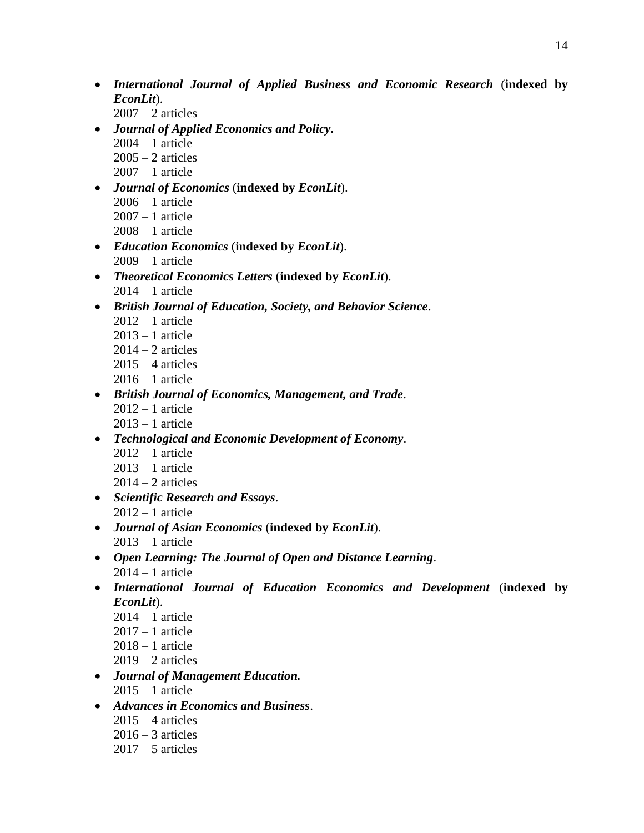- *International Journal of Applied Business and Economic Research* (**indexed by**  *EconLit*).
	- $2007 2$  articles
- *Journal of Applied Economics and Policy***.**
	- 2004 1 article
	- $2005 2$  articles
	- $2007 1$  article
- *Journal of Economics* (**indexed by** *EconLit*). 2006 – 1 article 2007 – 1 article 2008 – 1 article
- *Education Economics* (**indexed by** *EconLit*). 2009 – 1 article
- *Theoretical Economics Letters* (**indexed by** *EconLit*).  $2014 - 1$  article
- *British Journal of Education, Society, and Behavior Science*.
	- $2012 1$  article
	- $2013 1$  article
	- $2014 2$  articles
	- $2015 4$  articles
	- $2016 1$  article
- *British Journal of Economics, Management, and Trade*.  $2012 - 1$  article  $2013 - 1$  article
- *Technological and Economic Development of Economy*.
	- $2012 1$  article
	- $2013 1$  article
	- $2014 2$  articles
- *Scientific Research and Essays*.  $2012 - 1$  article
- *Journal of Asian Economics* (**indexed by** *EconLit*).  $2013 - 1$  article
- *Open Learning: The Journal of Open and Distance Learning*.  $2014 - 1$  article
- *International Journal of Education Economics and Development* (**indexed by**  *EconLit*).
	- $2014 1$  article
	- $2017 1$  article
	- $2018 1$  article
	- $2019 2$  articles
- *Journal of Management Education.*  $2015 - 1$  article
- *Advances in Economics and Business*.
	- $2015 4$  articles
	- $2016 3$  articles
	- $2017 5$  articles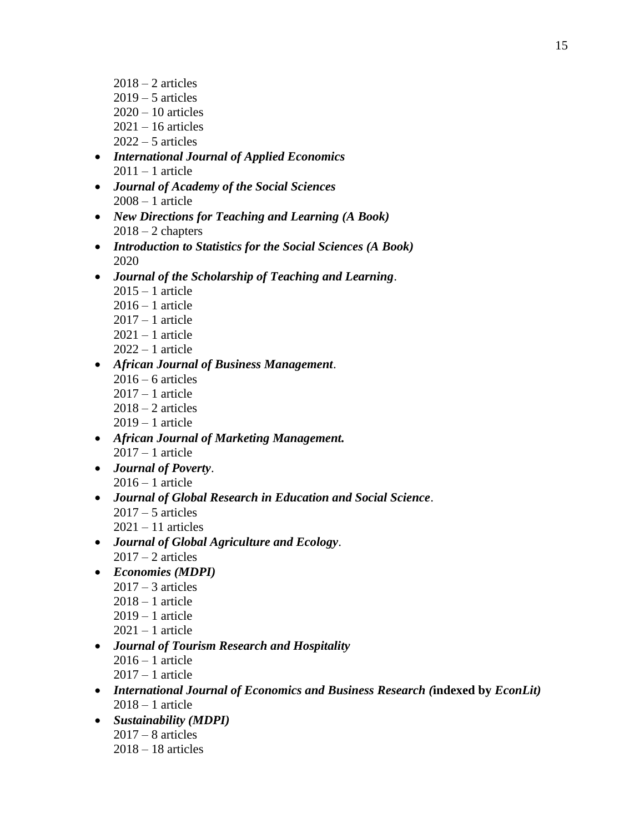- $2018 2$  articles  $2019 - 5$  articles  $2020 - 10$  articles 2021 – 16 articles  $2022 - 5$  articles
- *International Journal of Applied Economics*  $2011 - 1$  article
- *Journal of Academy of the Social Sciences* 2008 – 1 article
- *New Directions for Teaching and Learning (A Book)*  $2018 - 2$  chapters
- *Introduction to Statistics for the Social Sciences (A Book)* 2020
- *Journal of the Scholarship of Teaching and Learning*.
	- $2015 1$  article
	- $2016 1$  article
	- 2017 1 article
	- 2021 1 article  $2022 - 1$  article
- *African Journal of Business Management*.  $2016 - 6$  articles 2017 – 1 article  $2018 - 2$  articles
	- 2019 1 article
- *African Journal of Marketing Management.*  $2017 - 1$  article
- *Journal of Poverty*.  $2016 - 1$  article
- *Journal of Global Research in Education and Social Science*.  $2017 - 5$  articles  $2021 - 11$  articles
- *Journal of Global Agriculture and Ecology*.  $2017 - 2$  articles
- *Economies (MDPI)*
	- $2017 3$  articles
	- 2018 1 article
	- $2019 1$  article
	- $2021 1$  article
- *Journal of Tourism Research and Hospitality*  $2016 - 1$  article  $2017 - 1$  article
- *International Journal of Economics and Business Research (***indexed by** *EconLit)* 2018 – 1 article
- *Sustainability (MDPI)*  $2017 - 8$  articles 2018 – 18 articles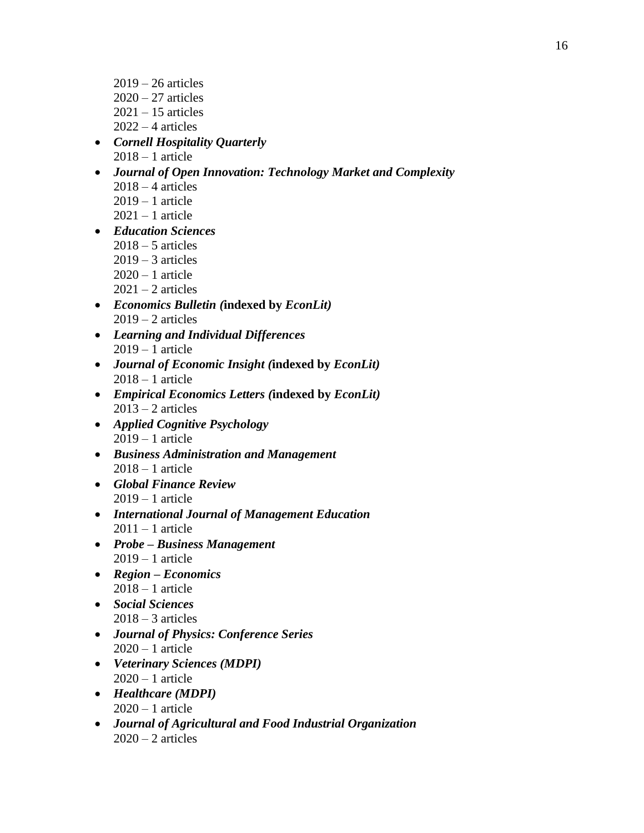- 2019 26 articles  $2020 - 27$  articles  $2021 - 15$  articles  $2022 - 4$  articles
- *Cornell Hospitality Quarterly* 2018 – 1 article
- *Journal of Open Innovation: Technology Market and Complexity*  $2018 - 4$  articles  $2019 - 1$  article  $2021 - 1$  article
- *Education Sciences*  $2018 - 5$  articles  $2019 - 3$  articles  $2020 - 1$  article  $2021 - 2$  articles
- *Economics Bulletin (***indexed by** *EconLit)*  $2019 - 2$  articles
- *Learning and Individual Differences*  $2019 - 1$  article
- *Journal of Economic Insight (***indexed by** *EconLit)*  $2018 - 1$  article
- *Empirical Economics Letters (***indexed by** *EconLit)*  $2013 - 2$  articles
- *Applied Cognitive Psychology* 2019 – 1 article
- *Business Administration and Management*  $2018 - 1$  article
- *Global Finance Review* 2019 – 1 article
- *International Journal of Management Education*  $2011 - 1$  article
- *Probe – Business Management* 2019 – 1 article
- *Region – Economics*   $2018 - 1$  article
- *Social Sciences*  $2018 - 3$  articles
- *Journal of Physics: Conference Series*  $2020 - 1$  article
- *Veterinary Sciences (MDPI)*  $2020 - 1$  article
- *Healthcare (MDPI)*  $2020 - 1$  article
- *Journal of Agricultural and Food Industrial Organization*  $2020 - 2$  articles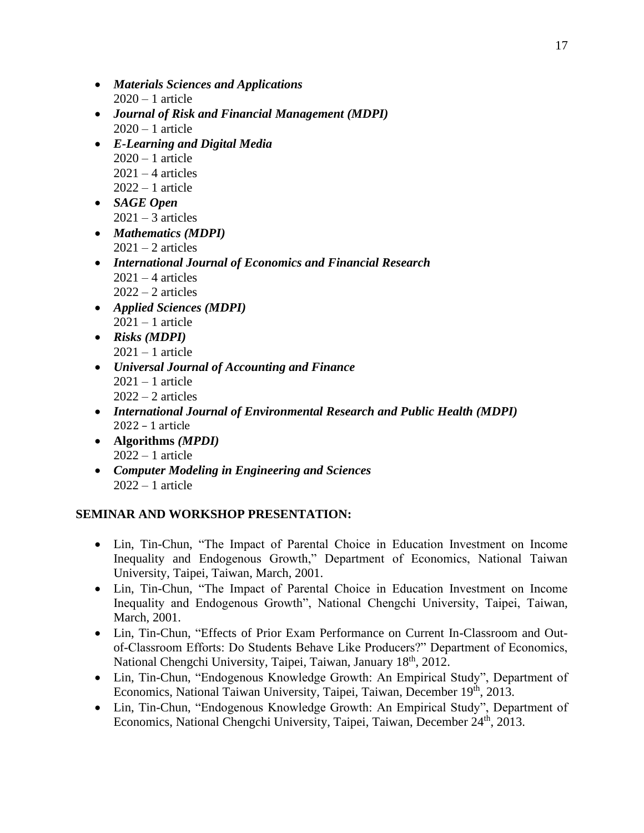- *Materials Sciences and Applications*  $2020 - 1$  article
- *Journal of Risk and Financial Management (MDPI)*  $2020 - 1$  article
- *E-Learning and Digital Media*  $2020 - 1$  article  $2021 - 4$  articles  $2022 - 1$  article
- *SAGE Open*  $2021 - 3$  articles
- *Mathematics (MDPI)*  $2021 - 2$  articles
- *International Journal of Economics and Financial Research*  $2021 - 4$  articles  $2022 - 2$  articles
- *Applied Sciences (MDPI)*  $2021 - 1$  article
- *Risks (MDPI)*  $2021 - 1$  article
- *Universal Journal of Accounting and Finance*  $2021 - 1$  article  $2022 - 2$  articles
- *International Journal of Environmental Research and Public Health (MDPI)* 2022 – 1 article
- **Algorithms** *(MPDI)*  $2022 - 1$  article
- *Computer Modeling in Engineering and Sciences*  $2022 - 1$  article

## **SEMINAR AND WORKSHOP PRESENTATION:**

- Lin, Tin-Chun, "The Impact of Parental Choice in Education Investment on Income Inequality and Endogenous Growth," Department of Economics, National Taiwan University, Taipei, Taiwan, March, 2001.
- Lin, Tin-Chun, "The Impact of Parental Choice in Education Investment on Income Inequality and Endogenous Growth", National Chengchi University, Taipei, Taiwan, March, 2001.
- Lin, Tin-Chun, "Effects of Prior Exam Performance on Current In-Classroom and Outof-Classroom Efforts: Do Students Behave Like Producers?" Department of Economics, National Chengchi University, Taipei, Taiwan, January 18<sup>th</sup>, 2012.
- Lin, Tin-Chun, "Endogenous Knowledge Growth: An Empirical Study", Department of Economics, National Taiwan University, Taipei, Taiwan, December 19<sup>th</sup>, 2013.
- Lin, Tin-Chun, "Endogenous Knowledge Growth: An Empirical Study", Department of Economics, National Chengchi University, Taipei, Taiwan, December 24<sup>th</sup>, 2013.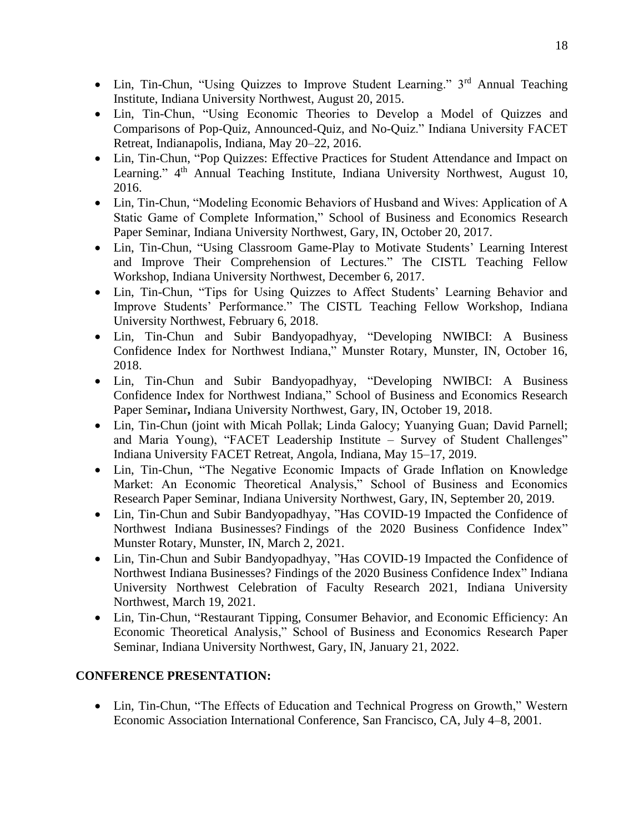- Lin, Tin-Chun, "Using Quizzes to Improve Student Learning." 3<sup>rd</sup> Annual Teaching Institute, Indiana University Northwest, August 20, 2015.
- Lin, Tin-Chun, "Using Economic Theories to Develop a Model of Quizzes and Comparisons of Pop-Quiz, Announced-Quiz, and No-Quiz." Indiana University FACET Retreat, Indianapolis, Indiana, May 20–22, 2016.
- Lin, Tin-Chun, "Pop Quizzes: Effective Practices for Student Attendance and Impact on Learning." 4<sup>th</sup> Annual Teaching Institute, Indiana University Northwest, August 10, 2016.
- Lin, Tin-Chun, "Modeling Economic Behaviors of Husband and Wives: Application of A Static Game of Complete Information," School of Business and Economics Research Paper Seminar, Indiana University Northwest, Gary, IN, October 20, 2017.
- Lin, Tin-Chun, "Using Classroom Game-Play to Motivate Students' Learning Interest and Improve Their Comprehension of Lectures." The CISTL Teaching Fellow Workshop, Indiana University Northwest, December 6, 2017.
- Lin, Tin-Chun, "Tips for Using Quizzes to Affect Students' Learning Behavior and Improve Students' Performance." The CISTL Teaching Fellow Workshop, Indiana University Northwest, February 6, 2018.
- Lin, Tin-Chun and Subir Bandyopadhyay, "Developing NWIBCI: A Business Confidence Index for Northwest Indiana," Munster Rotary, Munster, IN, October 16, 2018.
- Lin, Tin-Chun and Subir Bandyopadhyay, "Developing NWIBCI: A Business Confidence Index for Northwest Indiana," School of Business and Economics Research Paper Seminar**,** Indiana University Northwest, Gary, IN, October 19, 2018.
- Lin, Tin-Chun (joint with Micah Pollak; Linda Galocy; Yuanying Guan; David Parnell; and Maria Young), "FACET Leadership Institute – Survey of Student Challenges" Indiana University FACET Retreat, Angola, Indiana, May 15–17, 2019.
- Lin, Tin-Chun, "The Negative Economic Impacts of Grade Inflation on Knowledge Market: An Economic Theoretical Analysis," School of Business and Economics Research Paper Seminar, Indiana University Northwest, Gary, IN, September 20, 2019.
- Lin, Tin-Chun and Subir Bandyopadhyay, "Has COVID-19 Impacted the Confidence of Northwest Indiana Businesses? Findings of the 2020 Business Confidence Index" Munster Rotary, Munster, IN, March 2, 2021.
- Lin, Tin-Chun and Subir Bandyopadhyay, "Has COVID-19 Impacted the Confidence of Northwest Indiana Businesses? Findings of the 2020 Business Confidence Index" Indiana University Northwest Celebration of Faculty Research 2021, Indiana University Northwest, March 19, 2021.
- Lin, Tin-Chun, "Restaurant Tipping, Consumer Behavior, and Economic Efficiency: An Economic Theoretical Analysis," School of Business and Economics Research Paper Seminar, Indiana University Northwest, Gary, IN, January 21, 2022.

#### **CONFERENCE PRESENTATION:**

• Lin, Tin-Chun, "The Effects of Education and Technical Progress on Growth," Western Economic Association International Conference, San Francisco, CA, July 4–8, 2001.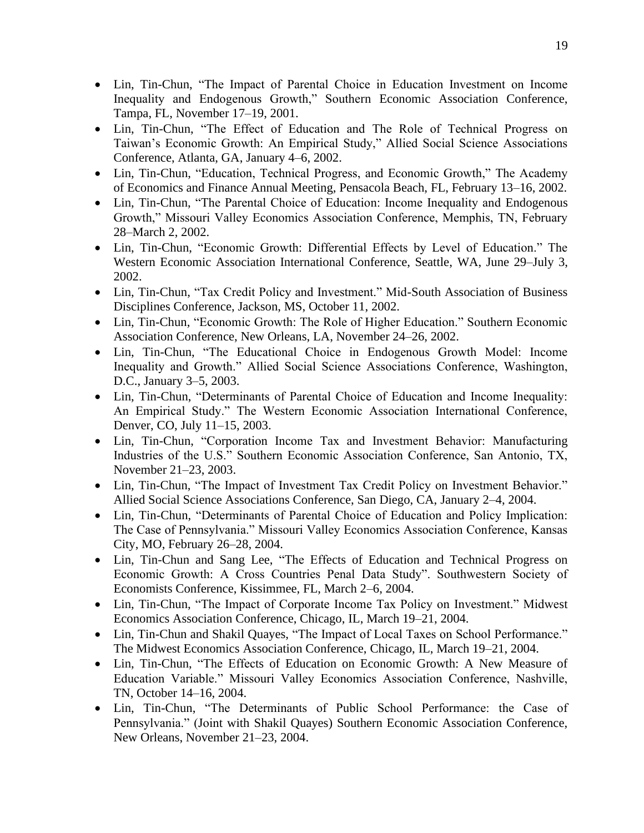- Lin, Tin-Chun, "The Impact of Parental Choice in Education Investment on Income Inequality and Endogenous Growth," Southern Economic Association Conference, Tampa, FL, November 17–19, 2001.
- Lin, Tin-Chun, "The Effect of Education and The Role of Technical Progress on Taiwan's Economic Growth: An Empirical Study," Allied Social Science Associations Conference, Atlanta, GA, January 4–6, 2002.
- Lin, Tin-Chun, "Education, Technical Progress, and Economic Growth," The Academy of Economics and Finance Annual Meeting, Pensacola Beach, FL, February 13–16, 2002.
- Lin, Tin-Chun, "The Parental Choice of Education: Income Inequality and Endogenous Growth," Missouri Valley Economics Association Conference, Memphis, TN, February 28–March 2, 2002.
- Lin, Tin-Chun, "Economic Growth: Differential Effects by Level of Education." The Western Economic Association International Conference, Seattle, WA, June 29–July 3, 2002.
- Lin, Tin-Chun, "Tax Credit Policy and Investment." Mid-South Association of Business Disciplines Conference, Jackson, MS, October 11, 2002.
- Lin, Tin-Chun, "Economic Growth: The Role of Higher Education." Southern Economic Association Conference, New Orleans, LA, November 24–26, 2002.
- Lin, Tin-Chun, "The Educational Choice in Endogenous Growth Model: Income Inequality and Growth." Allied Social Science Associations Conference, Washington, D.C., January 3–5, 2003.
- Lin, Tin-Chun, "Determinants of Parental Choice of Education and Income Inequality: An Empirical Study." The Western Economic Association International Conference, Denver, CO, July 11–15, 2003.
- Lin, Tin-Chun, "Corporation Income Tax and Investment Behavior: Manufacturing Industries of the U.S." Southern Economic Association Conference, San Antonio, TX, November 21–23, 2003.
- Lin, Tin-Chun, "The Impact of Investment Tax Credit Policy on Investment Behavior." Allied Social Science Associations Conference, San Diego, CA, January 2–4, 2004.
- Lin, Tin-Chun, "Determinants of Parental Choice of Education and Policy Implication: The Case of Pennsylvania." Missouri Valley Economics Association Conference, Kansas City, MO, February 26–28, 2004.
- Lin, Tin-Chun and Sang Lee, "The Effects of Education and Technical Progress on Economic Growth: A Cross Countries Penal Data Study". Southwestern Society of Economists Conference, Kissimmee, FL, March 2–6, 2004.
- Lin, Tin-Chun, "The Impact of Corporate Income Tax Policy on Investment." Midwest Economics Association Conference, Chicago, IL, March 19–21, 2004.
- Lin, Tin-Chun and Shakil Quayes, "The Impact of Local Taxes on School Performance." The Midwest Economics Association Conference, Chicago, IL, March 19–21, 2004.
- Lin, Tin-Chun, "The Effects of Education on Economic Growth: A New Measure of Education Variable." Missouri Valley Economics Association Conference, Nashville, TN, October 14–16, 2004.
- Lin, Tin-Chun, "The Determinants of Public School Performance: the Case of Pennsylvania." (Joint with Shakil Quayes) Southern Economic Association Conference, New Orleans, November 21–23, 2004.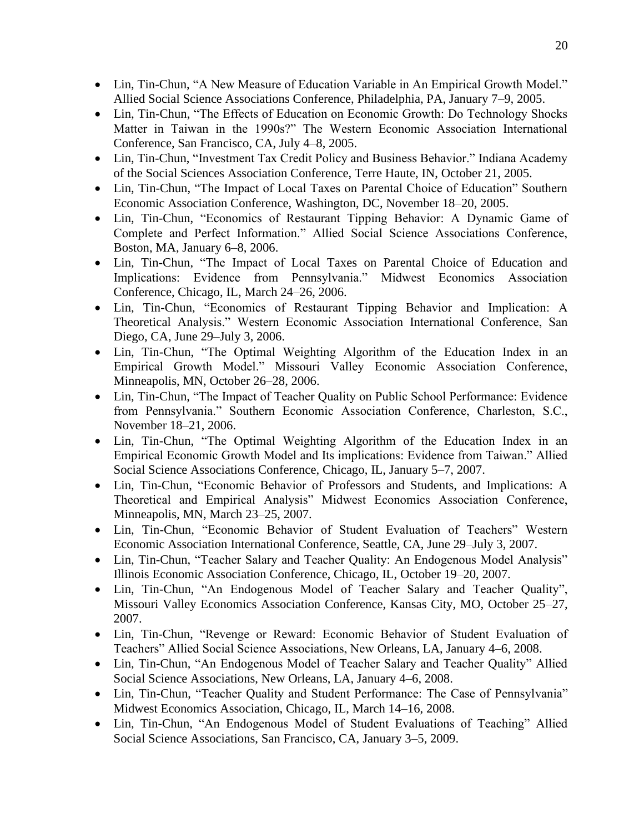- Lin, Tin-Chun, "A New Measure of Education Variable in An Empirical Growth Model." Allied Social Science Associations Conference, Philadelphia, PA, January 7–9, 2005.
- Lin, Tin-Chun, "The Effects of Education on Economic Growth: Do Technology Shocks Matter in Taiwan in the 1990s?" The Western Economic Association International Conference, San Francisco, CA, July 4–8, 2005.
- Lin, Tin-Chun, "Investment Tax Credit Policy and Business Behavior." Indiana Academy of the Social Sciences Association Conference, Terre Haute, IN, October 21, 2005.
- Lin, Tin-Chun, "The Impact of Local Taxes on Parental Choice of Education" Southern Economic Association Conference, Washington, DC, November 18–20, 2005.
- Lin, Tin-Chun, "Economics of Restaurant Tipping Behavior: A Dynamic Game of Complete and Perfect Information." Allied Social Science Associations Conference, Boston, MA, January 6–8, 2006.
- Lin, Tin-Chun, "The Impact of Local Taxes on Parental Choice of Education and Implications: Evidence from Pennsylvania." Midwest Economics Association Conference, Chicago, IL, March 24–26, 2006.
- Lin, Tin-Chun, "Economics of Restaurant Tipping Behavior and Implication: A Theoretical Analysis." Western Economic Association International Conference, San Diego, CA, June 29–July 3, 2006.
- Lin, Tin-Chun, "The Optimal Weighting Algorithm of the Education Index in an Empirical Growth Model." Missouri Valley Economic Association Conference, Minneapolis, MN, October 26–28, 2006.
- Lin, Tin-Chun, "The Impact of Teacher Quality on Public School Performance: Evidence from Pennsylvania." Southern Economic Association Conference, Charleston, S.C., November 18–21, 2006.
- Lin, Tin-Chun, "The Optimal Weighting Algorithm of the Education Index in an Empirical Economic Growth Model and Its implications: Evidence from Taiwan." Allied Social Science Associations Conference, Chicago, IL, January 5–7, 2007.
- Lin, Tin-Chun, "Economic Behavior of Professors and Students, and Implications: A Theoretical and Empirical Analysis" Midwest Economics Association Conference, Minneapolis, MN, March 23–25, 2007.
- Lin, Tin-Chun, "Economic Behavior of Student Evaluation of Teachers" Western Economic Association International Conference, Seattle, CA, June 29–July 3, 2007.
- Lin, Tin-Chun, "Teacher Salary and Teacher Quality: An Endogenous Model Analysis" Illinois Economic Association Conference, Chicago, IL, October 19–20, 2007.
- Lin, Tin-Chun, "An Endogenous Model of Teacher Salary and Teacher Quality", Missouri Valley Economics Association Conference, Kansas City, MO, October 25–27, 2007.
- Lin, Tin-Chun, "Revenge or Reward: Economic Behavior of Student Evaluation of Teachers" Allied Social Science Associations, New Orleans, LA, January 4–6, 2008.
- Lin, Tin-Chun, "An Endogenous Model of Teacher Salary and Teacher Quality" Allied Social Science Associations, New Orleans, LA, January 4–6, 2008.
- Lin, Tin-Chun, "Teacher Quality and Student Performance: The Case of Pennsylvania" Midwest Economics Association, Chicago, IL, March 14–16, 2008.
- Lin, Tin-Chun, "An Endogenous Model of Student Evaluations of Teaching" Allied Social Science Associations, San Francisco, CA, January 3–5, 2009.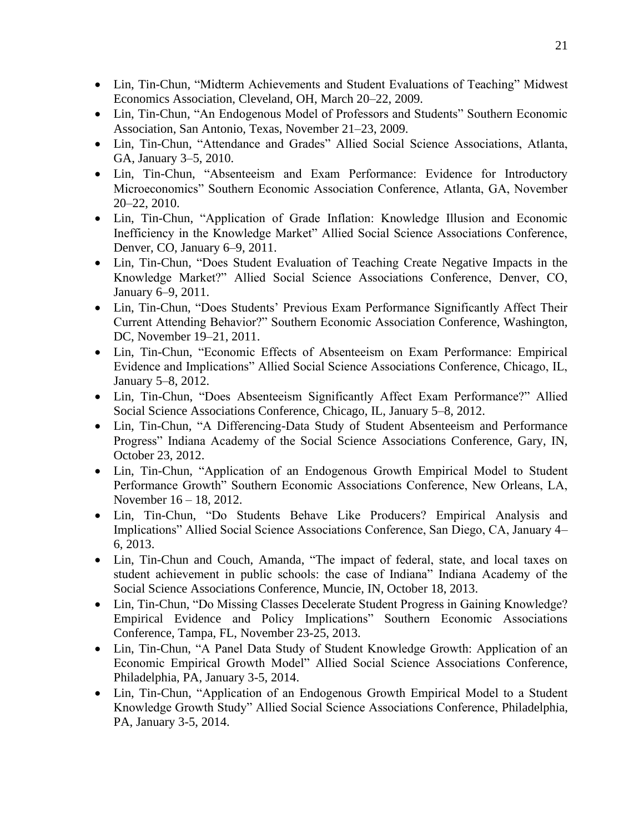- Lin, Tin-Chun, "Midterm Achievements and Student Evaluations of Teaching" Midwest Economics Association, Cleveland, OH, March 20–22, 2009.
- Lin, Tin-Chun, "An Endogenous Model of Professors and Students" Southern Economic Association, San Antonio, Texas, November 21–23, 2009.
- Lin, Tin-Chun, "Attendance and Grades" Allied Social Science Associations, Atlanta, GA, January 3–5, 2010.
- Lin, Tin-Chun, "Absenteeism and Exam Performance: Evidence for Introductory Microeconomics" Southern Economic Association Conference, Atlanta, GA, November 20–22, 2010.
- Lin, Tin-Chun, "Application of Grade Inflation: Knowledge Illusion and Economic Inefficiency in the Knowledge Market" Allied Social Science Associations Conference, Denver, CO, January 6–9, 2011.
- Lin, Tin-Chun, "Does Student Evaluation of Teaching Create Negative Impacts in the Knowledge Market?" Allied Social Science Associations Conference, Denver, CO, January 6–9, 2011.
- Lin, Tin-Chun, "Does Students' Previous Exam Performance Significantly Affect Their Current Attending Behavior?" Southern Economic Association Conference, Washington, DC, November 19–21, 2011.
- Lin, Tin-Chun, "Economic Effects of Absenteeism on Exam Performance: Empirical Evidence and Implications" Allied Social Science Associations Conference, Chicago, IL, January 5–8, 2012.
- Lin, Tin-Chun, "Does Absenteeism Significantly Affect Exam Performance?" Allied Social Science Associations Conference, Chicago, IL, January 5–8, 2012.
- Lin, Tin-Chun, "A Differencing-Data Study of Student Absenteeism and Performance Progress" Indiana Academy of the Social Science Associations Conference, Gary, IN, October 23, 2012.
- Lin, Tin-Chun, "Application of an Endogenous Growth Empirical Model to Student Performance Growth" Southern Economic Associations Conference, New Orleans, LA, November 16 – 18, 2012.
- Lin, Tin-Chun, "Do Students Behave Like Producers? Empirical Analysis and Implications" Allied Social Science Associations Conference, San Diego, CA, January 4– 6, 2013.
- Lin, Tin-Chun and Couch, Amanda, "The impact of federal, state, and local taxes on student achievement in public schools: the case of Indiana" Indiana Academy of the Social Science Associations Conference, Muncie, IN, October 18, 2013.
- Lin, Tin-Chun, "Do Missing Classes Decelerate Student Progress in Gaining Knowledge? Empirical Evidence and Policy Implications" Southern Economic Associations Conference, Tampa, FL, November 23-25, 2013.
- Lin, Tin-Chun, "A Panel Data Study of Student Knowledge Growth: Application of an Economic Empirical Growth Model" Allied Social Science Associations Conference, Philadelphia, PA, January 3-5, 2014.
- Lin, Tin-Chun, "Application of an Endogenous Growth Empirical Model to a Student Knowledge Growth Study" Allied Social Science Associations Conference, Philadelphia, PA, January 3-5, 2014.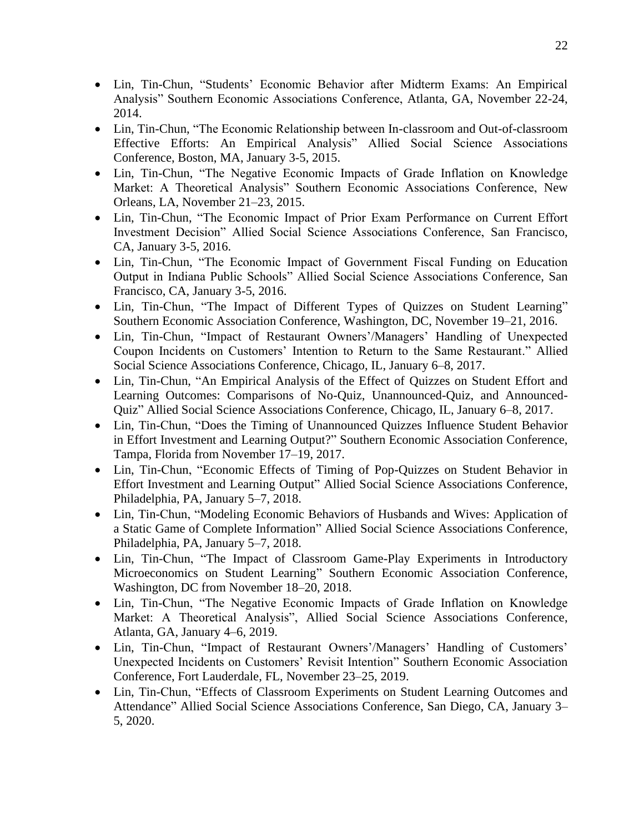- Lin, Tin-Chun, "Students' Economic Behavior after Midterm Exams: An Empirical Analysis" Southern Economic Associations Conference, Atlanta, GA, November 22-24, 2014.
- Lin, Tin-Chun, "The Economic Relationship between In-classroom and Out-of-classroom Effective Efforts: An Empirical Analysis" Allied Social Science Associations Conference, Boston, MA, January 3-5, 2015.
- Lin, Tin-Chun, "The Negative Economic Impacts of Grade Inflation on Knowledge Market: A Theoretical Analysis" Southern Economic Associations Conference, New Orleans, LA, November 21–23, 2015.
- Lin, Tin-Chun, "The Economic Impact of Prior Exam Performance on Current Effort Investment Decision" Allied Social Science Associations Conference, San Francisco, CA, January 3-5, 2016.
- Lin, Tin-Chun, "The Economic Impact of Government Fiscal Funding on Education Output in Indiana Public Schools" Allied Social Science Associations Conference, San Francisco, CA, January 3-5, 2016.
- Lin, Tin-Chun, "The Impact of Different Types of Quizzes on Student Learning" Southern Economic Association Conference, Washington, DC, November 19–21, 2016.
- Lin, Tin-Chun, "Impact of Restaurant Owners'/Managers' Handling of Unexpected Coupon Incidents on Customers' Intention to Return to the Same Restaurant." Allied Social Science Associations Conference, Chicago, IL, January 6–8, 2017.
- Lin, Tin-Chun, "An Empirical Analysis of the Effect of Quizzes on Student Effort and Learning Outcomes: Comparisons of No-Quiz, Unannounced-Quiz, and Announced-Quiz" Allied Social Science Associations Conference, Chicago, IL, January 6–8, 2017.
- Lin, Tin-Chun, "Does the Timing of Unannounced Quizzes Influence Student Behavior in Effort Investment and Learning Output?" Southern Economic Association Conference, Tampa, Florida from November 17–19, 2017.
- Lin, Tin-Chun, "Economic Effects of Timing of Pop-Quizzes on Student Behavior in Effort Investment and Learning Output" Allied Social Science Associations Conference, Philadelphia, PA, January 5–7, 2018.
- Lin, Tin-Chun, "Modeling Economic Behaviors of Husbands and Wives: Application of a Static Game of Complete Information" Allied Social Science Associations Conference, Philadelphia, PA, January 5–7, 2018.
- Lin, Tin-Chun, "The Impact of Classroom Game-Play Experiments in Introductory Microeconomics on Student Learning" Southern Economic Association Conference, Washington, DC from November 18–20, 2018.
- Lin, Tin-Chun, "The Negative Economic Impacts of Grade Inflation on Knowledge Market: A Theoretical Analysis", Allied Social Science Associations Conference, Atlanta, GA, January 4–6, 2019.
- Lin, Tin-Chun, "Impact of Restaurant Owners'/Managers' Handling of Customers' Unexpected Incidents on Customers' Revisit Intention" Southern Economic Association Conference, Fort Lauderdale, FL, November 23–25, 2019.
- Lin, Tin-Chun, "Effects of Classroom Experiments on Student Learning Outcomes and Attendance" Allied Social Science Associations Conference, San Diego, CA, January 3– 5, 2020.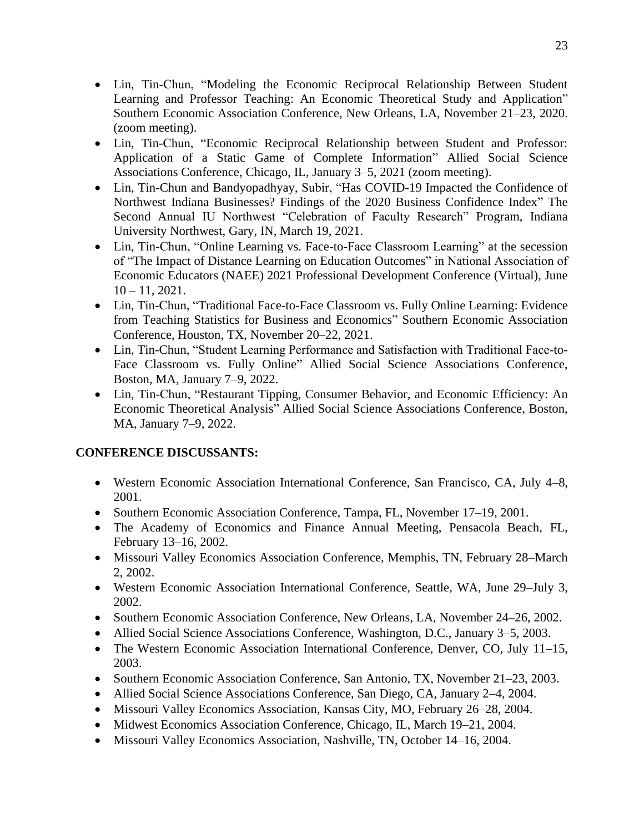- Lin, Tin-Chun, "Modeling the Economic Reciprocal Relationship Between Student Learning and Professor Teaching: An Economic Theoretical Study and Application" Southern Economic Association Conference, New Orleans, LA, November 21–23, 2020. (zoom meeting).
- Lin, Tin-Chun, "Economic Reciprocal Relationship between Student and Professor: Application of a Static Game of Complete Information" Allied Social Science Associations Conference, Chicago, IL, January 3–5, 2021 (zoom meeting).
- Lin, Tin-Chun and Bandyopadhyay, Subir, "Has COVID-19 Impacted the Confidence of Northwest Indiana Businesses? Findings of the 2020 Business Confidence Index" The Second Annual IU Northwest "Celebration of Faculty Research" Program, Indiana University Northwest, Gary, IN, March 19, 2021.
- Lin, Tin-Chun, "Online Learning vs. Face-to-Face Classroom Learning" at the secession of "The Impact of Distance Learning on Education Outcomes" in National Association of Economic Educators (NAEE) 2021 Professional Development Conference (Virtual), June  $10 - 11$ , 2021.
- Lin, Tin-Chun, "Traditional Face-to-Face Classroom vs. Fully Online Learning: Evidence from Teaching Statistics for Business and Economics" Southern Economic Association Conference, Houston, TX, November 20–22, 2021.
- Lin, Tin-Chun, "Student Learning Performance and Satisfaction with Traditional Face-to-Face Classroom vs. Fully Online" Allied Social Science Associations Conference, Boston, MA, January 7–9, 2022.
- Lin, Tin-Chun, "Restaurant Tipping, Consumer Behavior, and Economic Efficiency: An Economic Theoretical Analysis" Allied Social Science Associations Conference, Boston, MA, January 7–9, 2022.

## **CONFERENCE DISCUSSANTS:**

- Western Economic Association International Conference, San Francisco, CA, July 4–8, 2001.
- Southern Economic Association Conference, Tampa, FL, November 17–19, 2001.
- The Academy of Economics and Finance Annual Meeting, Pensacola Beach, FL, February 13–16, 2002.
- Missouri Valley Economics Association Conference, Memphis, TN, February 28–March 2, 2002.
- Western Economic Association International Conference, Seattle, WA, June 29–July 3, 2002.
- Southern Economic Association Conference, New Orleans, LA, November 24–26, 2002.
- Allied Social Science Associations Conference, Washington, D.C., January 3–5, 2003.
- The Western Economic Association International Conference, Denver, CO, July 11–15, 2003.
- Southern Economic Association Conference, San Antonio, TX, November 21–23, 2003.
- Allied Social Science Associations Conference, San Diego, CA, January 2–4, 2004.
- Missouri Valley Economics Association, Kansas City, MO, February 26–28, 2004.
- Midwest Economics Association Conference, Chicago, IL, March 19–21, 2004.
- Missouri Valley Economics Association, Nashville, TN, October 14–16, 2004.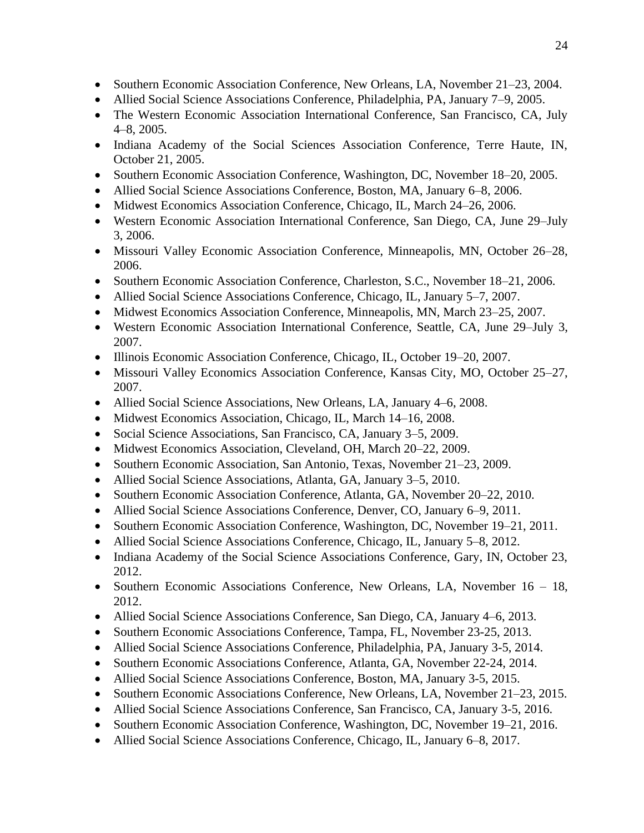- Southern Economic Association Conference, New Orleans, LA, November 21–23, 2004.
- Allied Social Science Associations Conference, Philadelphia, PA, January 7–9, 2005.
- The Western Economic Association International Conference, San Francisco, CA, July 4–8, 2005.
- Indiana Academy of the Social Sciences Association Conference, Terre Haute, IN, October 21, 2005.
- Southern Economic Association Conference, Washington, DC, November 18–20, 2005.
- Allied Social Science Associations Conference, Boston, MA, January 6–8, 2006.
- Midwest Economics Association Conference, Chicago, IL, March 24–26, 2006.
- Western Economic Association International Conference, San Diego, CA, June 29–July 3, 2006.
- Missouri Valley Economic Association Conference, Minneapolis, MN, October 26–28, 2006.
- Southern Economic Association Conference, Charleston, S.C., November 18–21, 2006.
- Allied Social Science Associations Conference, Chicago, IL, January 5–7, 2007.
- Midwest Economics Association Conference, Minneapolis, MN, March 23–25, 2007.
- Western Economic Association International Conference, Seattle, CA, June 29–July 3, 2007.
- Illinois Economic Association Conference, Chicago, IL, October 19–20, 2007.
- Missouri Valley Economics Association Conference, Kansas City, MO, October 25–27, 2007.
- Allied Social Science Associations, New Orleans, LA, January 4–6, 2008.
- Midwest Economics Association, Chicago, IL, March 14–16, 2008.
- Social Science Associations, San Francisco, CA, January 3–5, 2009.
- Midwest Economics Association, Cleveland, OH, March 20–22, 2009.
- Southern Economic Association, San Antonio, Texas, November 21–23, 2009.
- Allied Social Science Associations, Atlanta, GA, January 3–5, 2010.
- Southern Economic Association Conference, Atlanta, GA, November 20–22, 2010.
- Allied Social Science Associations Conference, Denver, CO, January 6–9, 2011.
- Southern Economic Association Conference, Washington, DC, November 19–21, 2011.
- Allied Social Science Associations Conference, Chicago, IL, January 5–8, 2012.
- Indiana Academy of the Social Science Associations Conference, Gary, IN, October 23, 2012.
- Southern Economic Associations Conference, New Orleans, LA, November 16 18, 2012.
- Allied Social Science Associations Conference, San Diego, CA, January 4–6, 2013.
- Southern Economic Associations Conference, Tampa, FL, November 23-25, 2013.
- Allied Social Science Associations Conference, Philadelphia, PA, January 3-5, 2014.
- Southern Economic Associations Conference, Atlanta, GA, November 22-24, 2014.
- Allied Social Science Associations Conference, Boston, MA, January 3-5, 2015.
- Southern Economic Associations Conference, New Orleans, LA, November 21–23, 2015.
- Allied Social Science Associations Conference, San Francisco, CA, January 3-5, 2016.
- Southern Economic Association Conference, Washington, DC, November 19–21, 2016.
- Allied Social Science Associations Conference, Chicago, IL, January 6–8, 2017.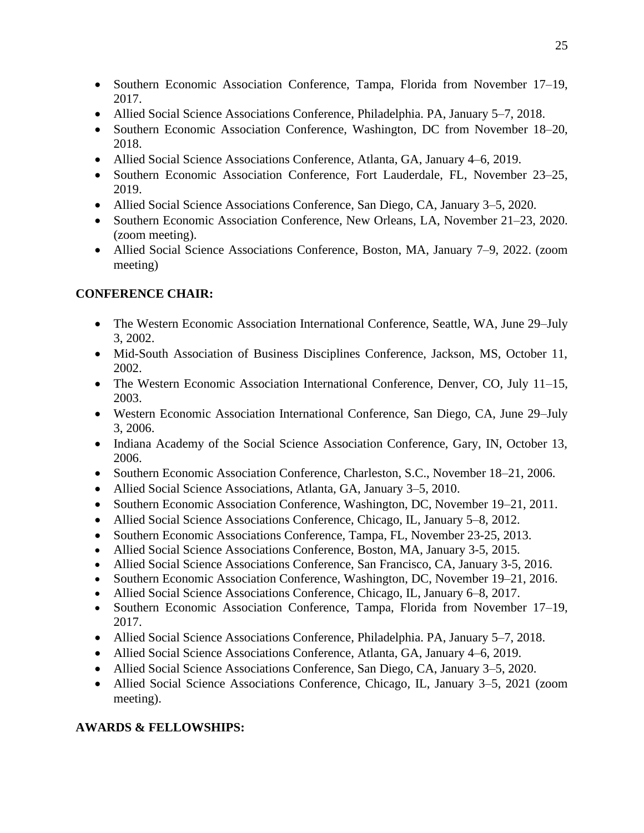- Southern Economic Association Conference, Tampa, Florida from November 17–19, 2017.
- Allied Social Science Associations Conference, Philadelphia. PA, January 5–7, 2018.
- Southern Economic Association Conference, Washington, DC from November 18–20, 2018.
- Allied Social Science Associations Conference, Atlanta, GA, January 4–6, 2019.
- Southern Economic Association Conference, Fort Lauderdale, FL, November 23–25, 2019.
- Allied Social Science Associations Conference, San Diego, CA, January 3–5, 2020.
- Southern Economic Association Conference, New Orleans, LA, November 21–23, 2020. (zoom meeting).
- Allied Social Science Associations Conference, Boston, MA, January 7–9, 2022. (zoom meeting)

## **CONFERENCE CHAIR:**

- The Western Economic Association International Conference, Seattle, WA, June 29–July 3, 2002.
- Mid-South Association of Business Disciplines Conference, Jackson, MS, October 11, 2002.
- The Western Economic Association International Conference, Denver, CO, July 11–15, 2003.
- Western Economic Association International Conference, San Diego, CA, June 29–July 3, 2006.
- Indiana Academy of the Social Science Association Conference, Gary, IN, October 13, 2006.
- Southern Economic Association Conference, Charleston, S.C., November 18–21, 2006.
- Allied Social Science Associations, Atlanta, GA, January 3–5, 2010.
- Southern Economic Association Conference, Washington, DC, November 19–21, 2011.
- Allied Social Science Associations Conference, Chicago, IL, January 5–8, 2012.
- Southern Economic Associations Conference, Tampa, FL, November 23-25, 2013.
- Allied Social Science Associations Conference, Boston, MA, January 3-5, 2015.
- Allied Social Science Associations Conference, San Francisco, CA, January 3-5, 2016.
- Southern Economic Association Conference, Washington, DC, November 19–21, 2016.
- Allied Social Science Associations Conference, Chicago, IL, January 6–8, 2017.
- Southern Economic Association Conference, Tampa, Florida from November 17–19, 2017.
- Allied Social Science Associations Conference, Philadelphia. PA, January 5–7, 2018.
- Allied Social Science Associations Conference, Atlanta, GA, January 4–6, 2019.
- Allied Social Science Associations Conference, San Diego, CA, January 3–5, 2020.
- Allied Social Science Associations Conference, Chicago, IL, January 3–5, 2021 (zoom meeting).

## **AWARDS & FELLOWSHIPS:**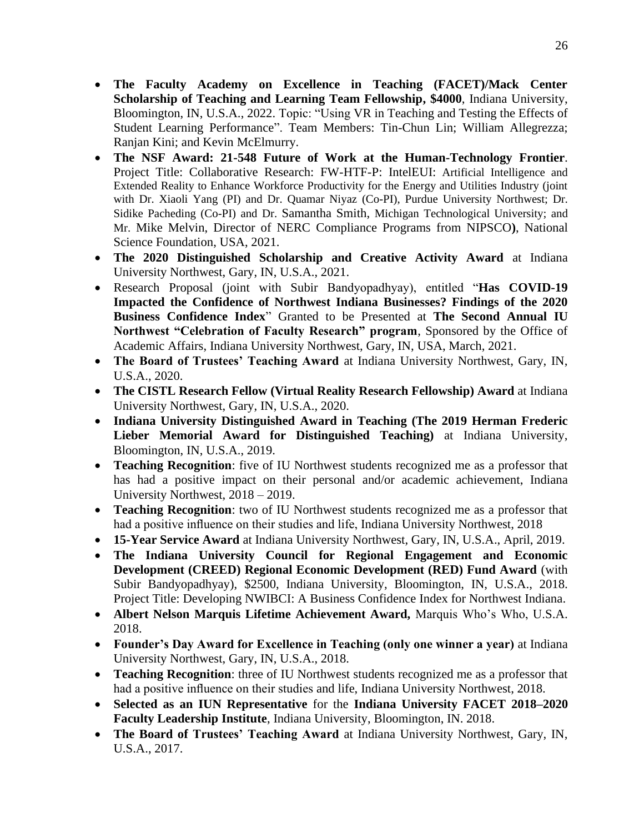- **The Faculty Academy on Excellence in Teaching (FACET)/Mack Center Scholarship of Teaching and Learning Team Fellowship, \$4000**, Indiana University, Bloomington, IN, U.S.A., 2022. Topic: "Using VR in Teaching and Testing the Effects of Student Learning Performance". Team Members: Tin-Chun Lin; William Allegrezza; Ranjan Kini; and Kevin McElmurry.
- **The NSF Award: 21-548 Future of Work at the Human-Technology Frontier**. Project Title: Collaborative Research: FW-HTF-P: IntelEUI: Artificial Intelligence and Extended Reality to Enhance Workforce Productivity for the Energy and Utilities Industry (joint with Dr. Xiaoli Yang (PI) and Dr. Quamar Niyaz (Co-PI), Purdue University Northwest; Dr. Sidike Pacheding (Co-PI) and Dr. Samantha Smith, Michigan Technological University; and Mr. Mike Melvin, Director of NERC Compliance Programs from NIPSCO**)**, National Science Foundation, USA, 2021.
- **The 2020 Distinguished Scholarship and Creative Activity Award** at Indiana University Northwest, Gary, IN, U.S.A., 2021.
- Research Proposal (joint with Subir Bandyopadhyay), entitled "**Has COVID-19 Impacted the Confidence of Northwest Indiana Businesses? Findings of the 2020 Business Confidence Index**" Granted to be Presented at **The Second Annual IU Northwest "Celebration of Faculty Research" program**, Sponsored by the Office of Academic Affairs, Indiana University Northwest, Gary, IN, USA, March, 2021.
- **The Board of Trustees' Teaching Award** at Indiana University Northwest, Gary, IN, U.S.A., 2020.
- **The CISTL Research Fellow (Virtual Reality Research Fellowship) Award** at Indiana University Northwest, Gary, IN, U.S.A., 2020.
- **Indiana University Distinguished Award in Teaching (The 2019 Herman Frederic Lieber Memorial Award for Distinguished Teaching)** at Indiana University, Bloomington, IN, U.S.A., 2019.
- **Teaching Recognition**: five of IU Northwest students recognized me as a professor that has had a positive impact on their personal and/or academic achievement, Indiana University Northwest, 2018 – 2019.
- **Teaching Recognition**: two of IU Northwest students recognized me as a professor that had a positive influence on their studies and life, Indiana University Northwest, 2018
- **15-Year Service Award** at Indiana University Northwest, Gary, IN, U.S.A., April, 2019.
- **The Indiana University Council for Regional Engagement and Economic Development (CREED) Regional Economic Development (RED) Fund Award** (with Subir Bandyopadhyay), \$2500, Indiana University, Bloomington, IN, U.S.A., 2018. Project Title: Developing NWIBCI: A Business Confidence Index for Northwest Indiana.
- **Albert Nelson Marquis Lifetime Achievement Award,** Marquis Who's Who, U.S.A. 2018.
- **Founder's Day Award for Excellence in Teaching (only one winner a year)** at Indiana University Northwest, Gary, IN, U.S.A., 2018.
- **Teaching Recognition**: three of IU Northwest students recognized me as a professor that had a positive influence on their studies and life, Indiana University Northwest, 2018.
- **Selected as an IUN Representative** for the **Indiana University FACET 2018–2020 Faculty Leadership Institute**, Indiana University, Bloomington, IN. 2018.
- **The Board of Trustees' Teaching Award** at Indiana University Northwest, Gary, IN, U.S.A., 2017.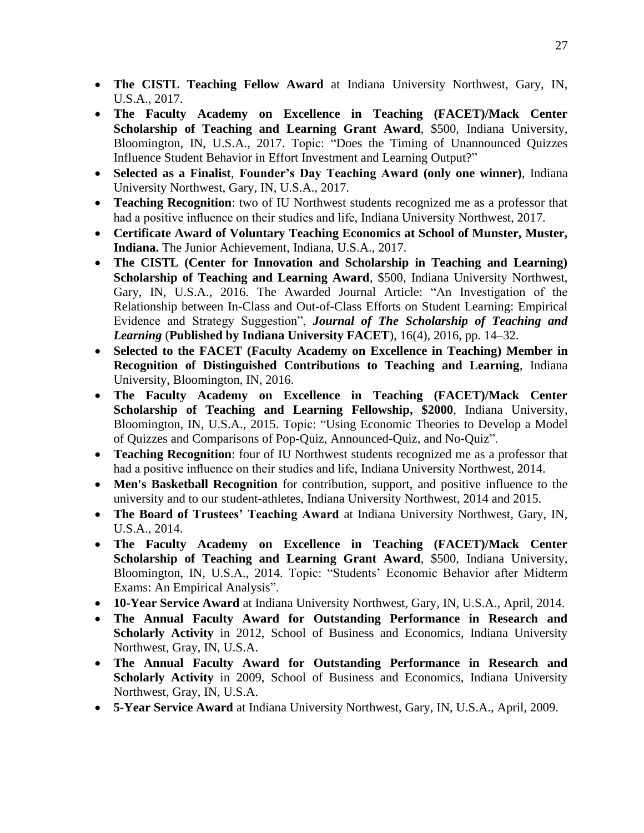- **The CISTL Teaching Fellow Award** at Indiana University Northwest, Gary, IN, U.S.A., 2017.
- **The Faculty Academy on Excellence in Teaching (FACET)/Mack Center Scholarship of Teaching and Learning Grant Award**, \$500, Indiana University, Bloomington, IN, U.S.A., 2017. Topic: "Does the Timing of Unannounced Quizzes Influence Student Behavior in Effort Investment and Learning Output?"
- **Selected as a Finalist**, **Founder's Day Teaching Award (only one winner)**, Indiana University Northwest, Gary, IN, U.S.A., 2017.
- **Teaching Recognition**: two of IU Northwest students recognized me as a professor that had a positive influence on their studies and life, Indiana University Northwest, 2017.
- **Certificate Award of Voluntary Teaching Economics at School of Munster, Muster, Indiana.** The Junior Achievement, Indiana, U.S.A., 2017.
- **The CISTL (Center for Innovation and Scholarship in Teaching and Learning) Scholarship of Teaching and Learning Award**, \$500, Indiana University Northwest, Gary, IN, U.S.A., 2016. The Awarded Journal Article: "An Investigation of the Relationship between In-Class and Out-of-Class Efforts on Student Learning: Empirical Evidence and Strategy Suggestion", *Journal of The Scholarship of Teaching and Learning* (**Published by Indiana University FACET**), 16(4), 2016, pp. 14–32.
- **Selected to the FACET (Faculty Academy on Excellence in Teaching) Member in Recognition of Distinguished Contributions to Teaching and Learning**, Indiana University, Bloomington, IN, 2016.
- **The Faculty Academy on Excellence in Teaching (FACET)/Mack Center Scholarship of Teaching and Learning Fellowship, \$2000**, Indiana University, Bloomington, IN, U.S.A., 2015. Topic: "Using Economic Theories to Develop a Model of Quizzes and Comparisons of Pop-Quiz, Announced-Quiz, and No-Quiz".
- **Teaching Recognition**: four of IU Northwest students recognized me as a professor that had a positive influence on their studies and life, Indiana University Northwest, 2014.
- **Men's Basketball Recognition** for contribution, support, and positive influence to the university and to our student-athletes, Indiana University Northwest, 2014 and 2015.
- **The Board of Trustees' Teaching Award** at Indiana University Northwest, Gary, IN, U.S.A., 2014.
- **The Faculty Academy on Excellence in Teaching (FACET)/Mack Center Scholarship of Teaching and Learning Grant Award**, \$500, Indiana University, Bloomington, IN, U.S.A., 2014. Topic: "Students' Economic Behavior after Midterm Exams: An Empirical Analysis".
- **10-Year Service Award** at Indiana University Northwest, Gary, IN, U.S.A., April, 2014.
- **The Annual Faculty Award for Outstanding Performance in Research and Scholarly Activity** in 2012, School of Business and Economics, Indiana University Northwest, Gray, IN, U.S.A.
- **The Annual Faculty Award for Outstanding Performance in Research and Scholarly Activity** in 2009, School of Business and Economics, Indiana University Northwest, Gray, IN, U.S.A.
- **5-Year Service Award** at Indiana University Northwest, Gary, IN, U.S.A., April, 2009.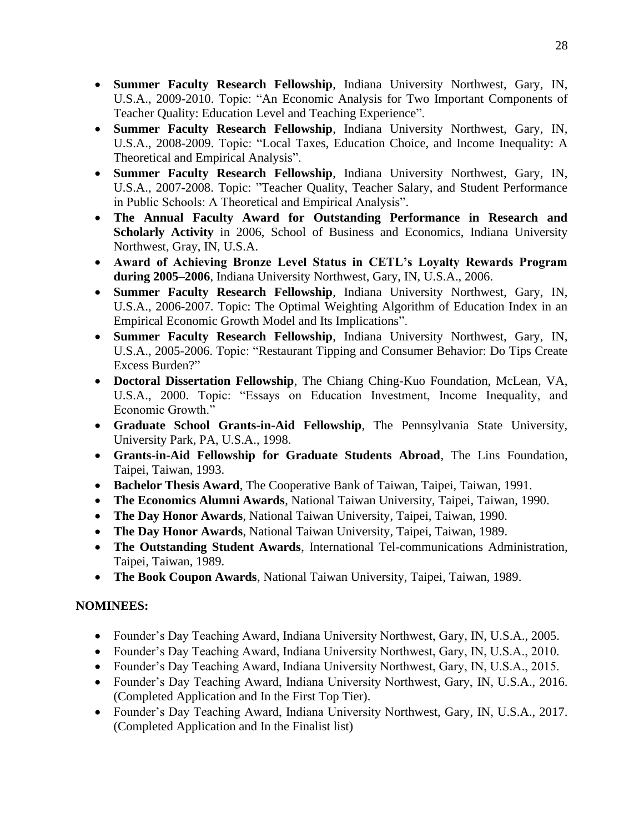- **Summer Faculty Research Fellowship**, Indiana University Northwest, Gary, IN, U.S.A., 2009-2010. Topic: "An Economic Analysis for Two Important Components of Teacher Quality: Education Level and Teaching Experience".
- **Summer Faculty Research Fellowship**, Indiana University Northwest, Gary, IN, U.S.A., 2008-2009. Topic: "Local Taxes, Education Choice, and Income Inequality: A Theoretical and Empirical Analysis".
- **Summer Faculty Research Fellowship**, Indiana University Northwest, Gary, IN, U.S.A., 2007-2008. Topic: "Teacher Quality, Teacher Salary, and Student Performance in Public Schools: A Theoretical and Empirical Analysis".
- **The Annual Faculty Award for Outstanding Performance in Research and Scholarly Activity** in 2006, School of Business and Economics, Indiana University Northwest, Gray, IN, U.S.A.
- **Award of Achieving Bronze Level Status in CETL's Loyalty Rewards Program during 2005–2006**, Indiana University Northwest, Gary, IN, U.S.A., 2006.
- **Summer Faculty Research Fellowship**, Indiana University Northwest, Gary, IN, U.S.A., 2006-2007. Topic: The Optimal Weighting Algorithm of Education Index in an Empirical Economic Growth Model and Its Implications".
- **Summer Faculty Research Fellowship**, Indiana University Northwest, Gary, IN, U.S.A., 2005-2006. Topic: "Restaurant Tipping and Consumer Behavior: Do Tips Create Excess Burden?"
- **Doctoral Dissertation Fellowship**, The Chiang Ching-Kuo Foundation, McLean, VA, U.S.A., 2000. Topic: "Essays on Education Investment, Income Inequality, and Economic Growth."
- **Graduate School Grants-in-Aid Fellowship**, The Pennsylvania State University, University Park, PA, U.S.A., 1998.
- **Grants-in-Aid Fellowship for Graduate Students Abroad**, The Lins Foundation, Taipei, Taiwan, 1993.
- **Bachelor Thesis Award**, The Cooperative Bank of Taiwan, Taipei, Taiwan, 1991.
- **The Economics Alumni Awards**, National Taiwan University, Taipei, Taiwan, 1990.
- **The Day Honor Awards**, National Taiwan University, Taipei, Taiwan, 1990.
- **The Day Honor Awards**, National Taiwan University, Taipei, Taiwan, 1989.
- **The Outstanding Student Awards**, International Tel-communications Administration, Taipei, Taiwan, 1989.
- **The Book Coupon Awards**, National Taiwan University, Taipei, Taiwan, 1989.

## **NOMINEES:**

- Founder's Day Teaching Award, Indiana University Northwest, Gary, IN, U.S.A., 2005.
- Founder's Day Teaching Award, Indiana University Northwest, Gary, IN, U.S.A., 2010.
- Founder's Day Teaching Award, Indiana University Northwest, Gary, IN, U.S.A., 2015.
- Founder's Day Teaching Award, Indiana University Northwest, Gary, IN, U.S.A., 2016. (Completed Application and In the First Top Tier).
- Founder's Day Teaching Award, Indiana University Northwest, Gary, IN, U.S.A., 2017. (Completed Application and In the Finalist list)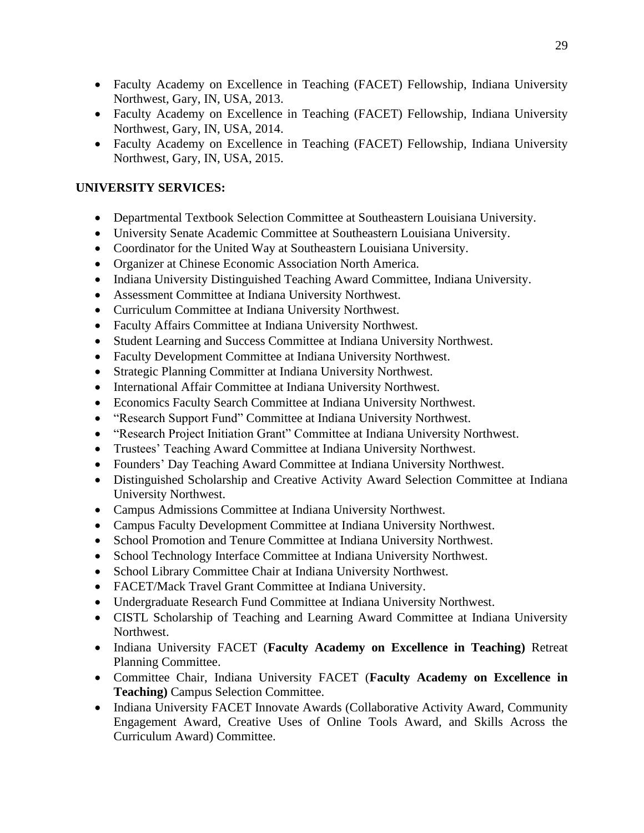- Faculty Academy on Excellence in Teaching (FACET) Fellowship, Indiana University Northwest, Gary, IN, USA, 2013.
- Faculty Academy on Excellence in Teaching (FACET) Fellowship, Indiana University Northwest, Gary, IN, USA, 2014.
- Faculty Academy on Excellence in Teaching (FACET) Fellowship, Indiana University Northwest, Gary, IN, USA, 2015.

#### **UNIVERSITY SERVICES:**

- Departmental Textbook Selection Committee at Southeastern Louisiana University.
- University Senate Academic Committee at Southeastern Louisiana University.
- Coordinator for the United Way at Southeastern Louisiana University.
- Organizer at Chinese Economic Association North America.
- Indiana University Distinguished Teaching Award Committee, Indiana University.
- Assessment Committee at Indiana University Northwest.
- Curriculum Committee at Indiana University Northwest.
- Faculty Affairs Committee at Indiana University Northwest.
- Student Learning and Success Committee at Indiana University Northwest.
- Faculty Development Committee at Indiana University Northwest.
- Strategic Planning Committer at Indiana University Northwest.
- International Affair Committee at Indiana University Northwest.
- Economics Faculty Search Committee at Indiana University Northwest.
- "Research Support Fund" Committee at Indiana University Northwest.
- "Research Project Initiation Grant" Committee at Indiana University Northwest.
- Trustees' Teaching Award Committee at Indiana University Northwest.
- Founders' Day Teaching Award Committee at Indiana University Northwest.
- Distinguished Scholarship and Creative Activity Award Selection Committee at Indiana University Northwest.
- Campus Admissions Committee at Indiana University Northwest.
- Campus Faculty Development Committee at Indiana University Northwest.
- School Promotion and Tenure Committee at Indiana University Northwest.
- School Technology Interface Committee at Indiana University Northwest.
- School Library Committee Chair at Indiana University Northwest.
- FACET/Mack Travel Grant Committee at Indiana University.
- Undergraduate Research Fund Committee at Indiana University Northwest.
- CISTL Scholarship of Teaching and Learning Award Committee at Indiana University Northwest.
- Indiana University FACET (**Faculty Academy on Excellence in Teaching)** Retreat Planning Committee.
- Committee Chair, Indiana University FACET (**Faculty Academy on Excellence in Teaching)** Campus Selection Committee.
- Indiana University FACET Innovate Awards (Collaborative Activity Award, Community Engagement Award, Creative Uses of Online Tools Award, and Skills Across the Curriculum Award) Committee.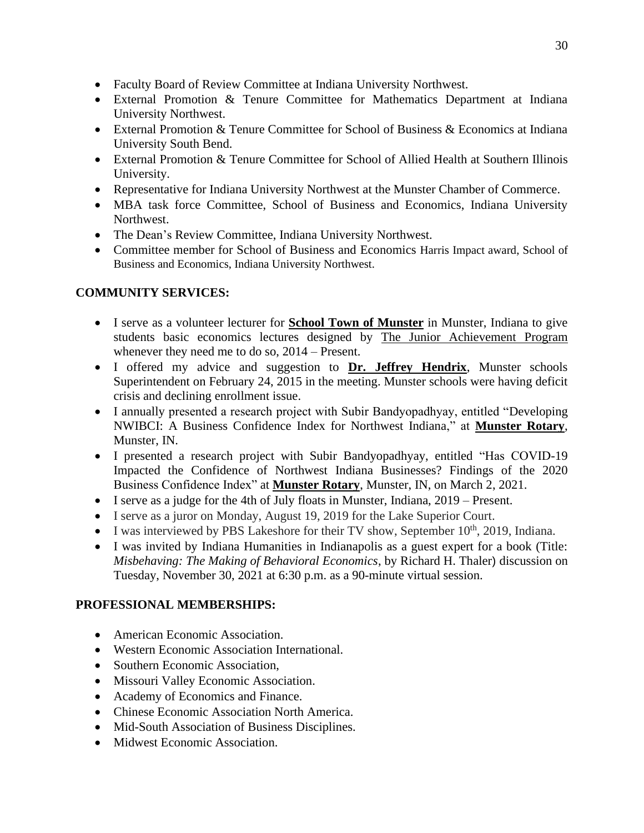- Faculty Board of Review Committee at Indiana University Northwest.
- External Promotion & Tenure Committee for Mathematics Department at Indiana University Northwest.
- External Promotion & Tenure Committee for School of Business & Economics at Indiana University South Bend.
- External Promotion & Tenure Committee for School of Allied Health at Southern Illinois University.
- Representative for Indiana University Northwest at the Munster Chamber of Commerce.
- MBA task force Committee, School of Business and Economics, Indiana University Northwest.
- The Dean's Review Committee, Indiana University Northwest.
- Committee member for School of Business and Economics Harris Impact award, School of Business and Economics, Indiana University Northwest.

## **COMMUNITY SERVICES:**

- I serve as a volunteer lecturer for **School Town of Munster** in Munster, Indiana to give students basic economics lectures designed by The Junior Achievement Program whenever they need me to do so, 2014 – Present.
- I offered my advice and suggestion to **Dr. Jeffrey Hendrix**, Munster schools Superintendent on February 24, 2015 in the meeting. Munster schools were having deficit crisis and declining enrollment issue.
- I annually presented a research project with Subir Bandyopadhyay, entitled "Developing NWIBCI: A Business Confidence Index for Northwest Indiana," at **Munster Rotary**, Munster, IN.
- I presented a research project with Subir Bandyopadhyay, entitled "Has COVID-19 Impacted the Confidence of Northwest Indiana Businesses? Findings of the 2020 Business Confidence Index" at **Munster Rotary**, Munster, IN, on March 2, 2021.
- I serve as a judge for the 4th of July floats in Munster, Indiana, 2019 Present.
- I serve as a juror on Monday, August 19, 2019 for the Lake Superior Court.
- I was interviewed by PBS Lakeshore for their TV show, September  $10^{th}$ , 2019, Indiana.
- I was invited by Indiana Humanities in Indianapolis as a guest expert for a book (Title: *Misbehaving: The Making of Behavioral Economics*, by Richard H. Thaler) discussion on Tuesday, November 30, 2021 at 6:30 p.m. as a 90-minute virtual session.

## **PROFESSIONAL MEMBERSHIPS:**

- American Economic Association.
- Western Economic Association International.
- Southern Economic Association,
- Missouri Valley Economic Association.
- Academy of Economics and Finance.
- Chinese Economic Association North America.
- Mid-South Association of Business Disciplines.
- Midwest Economic Association.